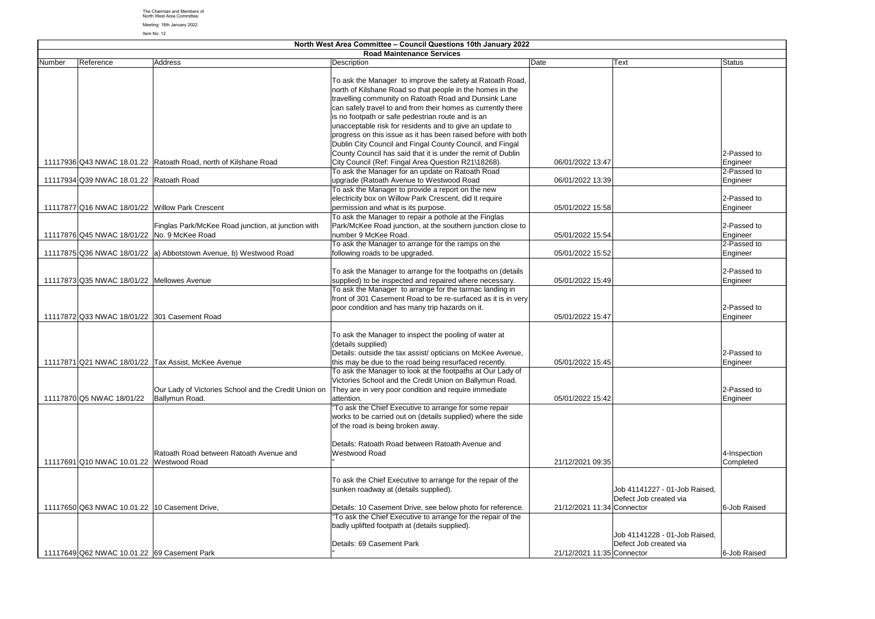|        | North West Area Committee - Council Questions 10th January 2022 |                                                                     |                                                               |                            |                               |               |
|--------|-----------------------------------------------------------------|---------------------------------------------------------------------|---------------------------------------------------------------|----------------------------|-------------------------------|---------------|
|        |                                                                 |                                                                     | <b>Road Maintenance Services</b>                              |                            |                               |               |
| Number | Reference                                                       | Address                                                             | Description                                                   | Date                       | Text                          | <b>Status</b> |
|        |                                                                 |                                                                     |                                                               |                            |                               |               |
|        |                                                                 |                                                                     | To ask the Manager to improve the safety at Ratoath Road,     |                            |                               |               |
|        |                                                                 |                                                                     | north of Kilshane Road so that people in the homes in the     |                            |                               |               |
|        |                                                                 |                                                                     | travelling community on Ratoath Road and Dunsink Lane         |                            |                               |               |
|        |                                                                 |                                                                     | can safely travel to and from their homes as currently there  |                            |                               |               |
|        |                                                                 |                                                                     | is no footpath or safe pedestrian route and is an             |                            |                               |               |
|        |                                                                 |                                                                     | unacceptable risk for residents and to give an update to      |                            |                               |               |
|        |                                                                 |                                                                     | progress on this issue as it has been raised before with both |                            |                               |               |
|        |                                                                 |                                                                     | Dublin City Council and Fingal County Council, and Fingal     |                            |                               |               |
|        |                                                                 |                                                                     | County Council has said that it is under the remit of Dublin  |                            |                               | 2-Passed to   |
|        |                                                                 | 11117936 Q43 NWAC 18.01.22 Ratoath Road, north of Kilshane Road     | City Council (Ref: Fingal Area Question R21\18268).           | 06/01/2022 13:47           |                               | Engineer      |
|        |                                                                 |                                                                     | To ask the Manager for an update on Ratoath Road              |                            |                               | 2-Passed to   |
|        | 11117934 Q39 NWAC 18.01.22 Ratoath Road                         |                                                                     | upgrade (Ratoath Avenue to Westwood Road                      | 06/01/2022 13:39           |                               | Engineer      |
|        |                                                                 |                                                                     | To ask the Manager to provide a report on the new             |                            |                               |               |
|        |                                                                 |                                                                     | electricity box on Willow Park Crescent, did it require       |                            |                               | 2-Passed to   |
|        | 11117877 Q16 NWAC 18/01/22 Willow Park Crescent                 |                                                                     | permission and what is its purpose.                           | 05/01/2022 15:58           |                               | Engineer      |
|        |                                                                 |                                                                     | To ask the Manager to repair a pothole at the Finglas         |                            |                               |               |
|        |                                                                 | Finglas Park/McKee Road junction, at junction with                  | Park/McKee Road junction, at the southern junction close to   |                            |                               | 2-Passed to   |
|        | 11117876 Q45 NWAC 18/01/22 No. 9 McKee Road                     |                                                                     | number 9 McKee Road.                                          | 05/01/2022 15:54           |                               | Engineer      |
|        |                                                                 |                                                                     | To ask the Manager to arrange for the ramps on the            |                            |                               | 2-Passed to   |
|        |                                                                 | 11117875 Q36 NWAC 18/01/22   a) Abbotstown Avenue, b) Westwood Road | following roads to be upgraded.                               | 05/01/2022 15:52           |                               | Engineer      |
|        |                                                                 |                                                                     |                                                               |                            |                               |               |
|        |                                                                 |                                                                     |                                                               |                            |                               | 2-Passed to   |
|        | 11117873 Q35 NWAC 18/01/22 Mellowes Avenue                      |                                                                     | To ask the Manager to arrange for the footpaths on (details   | 05/01/2022 15:49           |                               |               |
|        |                                                                 |                                                                     | supplied) to be inspected and repaired where necessary.       |                            |                               | Engineer      |
|        |                                                                 |                                                                     | To ask the Manager to arrange for the tarmac landing in       |                            |                               |               |
|        |                                                                 |                                                                     | front of 301 Casement Road to be re-surfaced as it is in very |                            |                               |               |
|        |                                                                 |                                                                     | poor condition and has many trip hazards on it.               |                            |                               | 2-Passed to   |
|        | 11117872 Q33 NWAC 18/01/22 301 Casement Road                    |                                                                     |                                                               | 05/01/2022 15:47           |                               | Engineer      |
|        |                                                                 |                                                                     |                                                               |                            |                               |               |
|        |                                                                 |                                                                     | To ask the Manager to inspect the pooling of water at         |                            |                               |               |
|        |                                                                 |                                                                     | (details supplied)                                            |                            |                               |               |
|        |                                                                 |                                                                     | Details: outside the tax assist/ opticians on McKee Avenue,   |                            |                               | 2-Passed to   |
|        |                                                                 | 11117871 Q21 NWAC 18/01/22 Tax Assist, McKee Avenue                 | this may be due to the road being resurfaced recently.        | 05/01/2022 15:45           |                               | Engineer      |
|        |                                                                 |                                                                     | To ask the Manager to look at the footpaths at Our Lady of    |                            |                               |               |
|        |                                                                 |                                                                     | Victories School and the Credit Union on Ballymun Road.       |                            |                               |               |
|        |                                                                 | Our Lady of Victories School and the Credit Union on                | They are in very poor condition and require immediate         |                            |                               | 2-Passed to   |
|        | 11117870 Q5 NWAC 18/01/22                                       | Ballymun Road.                                                      | attention.                                                    | 05/01/2022 15:42           |                               | Engineer      |
|        |                                                                 |                                                                     | "To ask the Chief Executive to arrange for some repair        |                            |                               |               |
|        |                                                                 |                                                                     | works to be carried out on (details supplied) where the side  |                            |                               |               |
|        |                                                                 |                                                                     | of the road is being broken away.                             |                            |                               |               |
|        |                                                                 |                                                                     |                                                               |                            |                               |               |
|        |                                                                 |                                                                     | Details: Ratoath Road between Ratoath Avenue and              |                            |                               |               |
|        |                                                                 | Ratoath Road between Ratoath Avenue and                             | Westwood Road                                                 |                            |                               | 4-Inspection  |
|        | 11117691 Q10 NWAC 10.01.22 Westwood Road                        |                                                                     |                                                               | 21/12/2021 09:35           |                               | Completed     |
|        |                                                                 |                                                                     |                                                               |                            |                               |               |
|        |                                                                 |                                                                     | To ask the Chief Executive to arrange for the repair of the   |                            |                               |               |
|        |                                                                 |                                                                     | sunken roadway at (details supplied).                         |                            | Job 41141227 - 01-Job Raised, |               |
|        |                                                                 |                                                                     |                                                               |                            | Defect Job created via        |               |
|        | 11117650 Q63 NWAC 10.01.22 10 Casement Drive,                   |                                                                     | Details: 10 Casement Drive, see below photo for reference.    | 21/12/2021 11:34 Connector |                               | 6-Job Raised  |
|        |                                                                 |                                                                     | "To ask the Chief Executive to arrange for the repair of the  |                            |                               |               |
|        |                                                                 |                                                                     |                                                               |                            |                               |               |
|        |                                                                 |                                                                     | badly uplifted footpath at (details supplied).                |                            |                               |               |
|        |                                                                 |                                                                     |                                                               |                            | Job 41141228 - 01-Job Raised, |               |
|        |                                                                 |                                                                     | Details: 69 Casement Park                                     |                            | Defect Job created via        |               |
|        | 11117649 Q62 NWAC 10.01.22 69 Casement Park                     |                                                                     |                                                               | 21/12/2021 11:35 Connector |                               | 6-Job Raised  |

The Chairman and Members of North West Area Committee.

Meeting: 18th January 2022 Item No: 12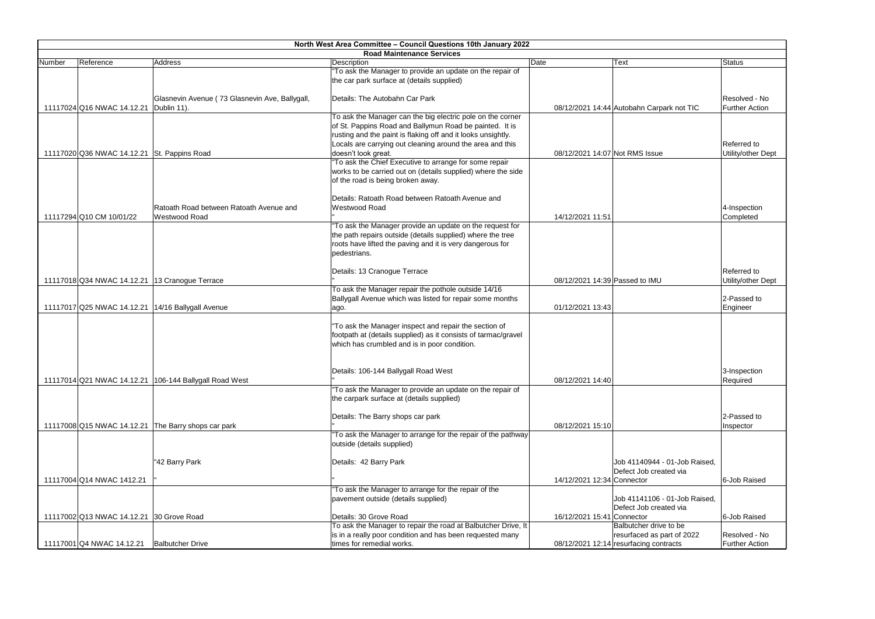|        | North West Area Committee - Council Questions 10th January 2022 |                                                        |                                                                                                                         |                                |                                           |                       |  |
|--------|-----------------------------------------------------------------|--------------------------------------------------------|-------------------------------------------------------------------------------------------------------------------------|--------------------------------|-------------------------------------------|-----------------------|--|
|        |                                                                 |                                                        | <b>Road Maintenance Services</b>                                                                                        |                                |                                           |                       |  |
| Number | Reference                                                       | Address                                                | Description                                                                                                             | Date                           | Text                                      | Status                |  |
|        |                                                                 |                                                        | "To ask the Manager to provide an update on the repair of                                                               |                                |                                           |                       |  |
|        |                                                                 |                                                        | the car park surface at (details supplied)                                                                              |                                |                                           |                       |  |
|        |                                                                 |                                                        |                                                                                                                         |                                |                                           |                       |  |
|        |                                                                 | Glasnevin Avenue (73 Glasnevin Ave, Ballygall,         | Details: The Autobahn Car Park                                                                                          |                                |                                           | Resolved - No         |  |
|        | 11117024 Q16 NWAC 14.12.21                                      | Dublin 11).                                            |                                                                                                                         |                                | 08/12/2021 14:44 Autobahn Carpark not TIC | <b>Further Action</b> |  |
|        |                                                                 |                                                        | To ask the Manager can the big electric pole on the corner                                                              |                                |                                           |                       |  |
|        |                                                                 |                                                        | of St. Pappins Road and Ballymun Road be painted. It is<br>rusting and the paint is flaking off and it looks unsightly. |                                |                                           |                       |  |
|        |                                                                 |                                                        |                                                                                                                         |                                |                                           | Referred to           |  |
|        |                                                                 |                                                        | Locals are carrying out cleaning around the area and this                                                               | 08/12/2021 14:07 Not RMS Issue |                                           |                       |  |
|        | 11117020 Q36 NWAC 14.12.21 St. Pappins Road                     |                                                        | doesn't look great.<br>"To ask the Chief Executive to arrange for some repair                                           |                                |                                           | Utility/other Dept    |  |
|        |                                                                 |                                                        |                                                                                                                         |                                |                                           |                       |  |
|        |                                                                 |                                                        | works to be carried out on (details supplied) where the side                                                            |                                |                                           |                       |  |
|        |                                                                 |                                                        | of the road is being broken away.                                                                                       |                                |                                           |                       |  |
|        |                                                                 |                                                        | Details: Ratoath Road between Ratoath Avenue and                                                                        |                                |                                           |                       |  |
|        |                                                                 | Ratoath Road between Ratoath Avenue and                | Westwood Road                                                                                                           |                                |                                           | 4-Inspection          |  |
|        | 11117294 Q10 CM 10/01/22                                        | Westwood Road                                          |                                                                                                                         | 14/12/2021 11:51               |                                           | Completed             |  |
|        |                                                                 |                                                        | "To ask the Manager provide an update on the request for                                                                |                                |                                           |                       |  |
|        |                                                                 |                                                        | the path repairs outside (details supplied) where the tree                                                              |                                |                                           |                       |  |
|        |                                                                 |                                                        | roots have lifted the paving and it is very dangerous for                                                               |                                |                                           |                       |  |
|        |                                                                 |                                                        | pedestrians.                                                                                                            |                                |                                           |                       |  |
|        |                                                                 |                                                        |                                                                                                                         |                                |                                           |                       |  |
|        |                                                                 |                                                        | Details: 13 Cranogue Terrace                                                                                            |                                |                                           | Referred to           |  |
|        |                                                                 | 11117018 Q34 NWAC 14.12.21 13 Cranogue Terrace         |                                                                                                                         | 08/12/2021 14:39 Passed to IMU |                                           | Utility/other Dept    |  |
|        |                                                                 |                                                        | To ask the Manager repair the pothole outside 14/16                                                                     |                                |                                           |                       |  |
|        |                                                                 |                                                        | Ballygall Avenue which was listed for repair some months                                                                |                                |                                           | 2-Passed to           |  |
|        |                                                                 | 11117017 Q25 NWAC 14.12.21 14/16 Ballygall Avenue      | ago.                                                                                                                    | 01/12/2021 13:43               |                                           | Engineer              |  |
|        |                                                                 |                                                        |                                                                                                                         |                                |                                           |                       |  |
|        |                                                                 |                                                        | "To ask the Manager inspect and repair the section of                                                                   |                                |                                           |                       |  |
|        |                                                                 |                                                        | footpath at (details supplied) as it consists of tarmac/gravel                                                          |                                |                                           |                       |  |
|        |                                                                 |                                                        | which has crumbled and is in poor condition.                                                                            |                                |                                           |                       |  |
|        |                                                                 |                                                        |                                                                                                                         |                                |                                           |                       |  |
|        |                                                                 |                                                        |                                                                                                                         |                                |                                           |                       |  |
|        |                                                                 |                                                        | Details: 106-144 Ballygall Road West                                                                                    |                                |                                           | 3-Inspection          |  |
|        |                                                                 | 11117014 Q21 NWAC 14.12.21 106-144 Ballygall Road West |                                                                                                                         | 08/12/2021 14:40               |                                           | Required              |  |
|        |                                                                 |                                                        | "To ask the Manager to provide an update on the repair of                                                               |                                |                                           |                       |  |
|        |                                                                 |                                                        | the carpark surface at (details supplied)                                                                               |                                |                                           |                       |  |
|        |                                                                 |                                                        |                                                                                                                         |                                |                                           |                       |  |
|        |                                                                 |                                                        | Details: The Barry shops car park                                                                                       |                                |                                           | 2-Passed to           |  |
|        |                                                                 | 11117008 Q15 NWAC 14.12.21 The Barry shops car park    |                                                                                                                         | 08/12/2021 15:10               |                                           | Inspector             |  |
|        |                                                                 |                                                        | "To ask the Manager to arrange for the repair of the pathway                                                            |                                |                                           |                       |  |
|        |                                                                 |                                                        | outside (details supplied)                                                                                              |                                |                                           |                       |  |
|        |                                                                 |                                                        |                                                                                                                         |                                |                                           |                       |  |
|        |                                                                 | "42 Barry Park                                         | Details: 42 Barry Park                                                                                                  |                                | Job 41140944 - 01-Job Raised,             |                       |  |
|        |                                                                 |                                                        |                                                                                                                         |                                | Defect Job created via                    |                       |  |
|        | 11117004 Q14 NWAC 1412.21                                       |                                                        |                                                                                                                         | 14/12/2021 12:34 Connector     |                                           | 6-Job Raised          |  |
|        |                                                                 |                                                        | "To ask the Manager to arrange for the repair of the                                                                    |                                |                                           |                       |  |
|        |                                                                 |                                                        | pavement outside (details supplied)                                                                                     |                                | Job 41141106 - 01-Job Raised,             |                       |  |
|        |                                                                 |                                                        |                                                                                                                         |                                | Defect Job created via                    |                       |  |
|        | 11117002 Q13 NWAC 14.12.21 30 Grove Road                        |                                                        | Details: 30 Grove Road                                                                                                  | 16/12/2021 15:41 Connector     |                                           | 6-Job Raised          |  |
|        |                                                                 |                                                        | To ask the Manager to repair the road at Balbutcher Drive, It                                                           |                                | Balbutcher drive to be                    |                       |  |
|        |                                                                 |                                                        | is in a really poor condition and has been requested many                                                               |                                | resurfaced as part of 2022                | Resolved - No         |  |
|        | 11117001 Q4 NWAC 14.12.21                                       | <b>Balbutcher Drive</b>                                | times for remedial works.                                                                                               |                                | 08/12/2021 12:14 resurfacing contracts    | <b>Further Action</b> |  |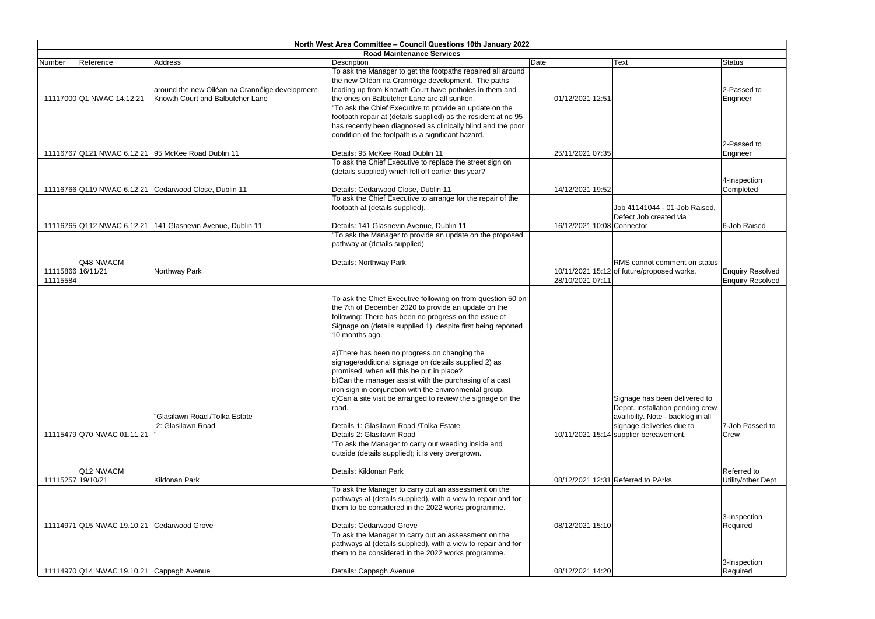|                   | North West Area Committee - Council Questions 10th January 2022<br><b>Road Maintenance Services</b> |                                                            |                                                                                                    |                            |                                                                       |                         |
|-------------------|-----------------------------------------------------------------------------------------------------|------------------------------------------------------------|----------------------------------------------------------------------------------------------------|----------------------------|-----------------------------------------------------------------------|-------------------------|
| Number            | Reference                                                                                           | Address                                                    | Description                                                                                        | Date                       | <b>Text</b>                                                           | <b>Status</b>           |
|                   |                                                                                                     |                                                            | To ask the Manager to get the footpaths repaired all around                                        |                            |                                                                       |                         |
|                   |                                                                                                     |                                                            | the new Oiléan na Crannóige development. The paths                                                 |                            |                                                                       |                         |
|                   |                                                                                                     | around the new Oiléan na Crannóige development             | leading up from Knowth Court have potholes in them and                                             |                            |                                                                       | 2-Passed to             |
|                   | 11117000 Q1 NWAC 14.12.21                                                                           | Knowth Court and Balbutcher Lane                           | the ones on Balbutcher Lane are all sunken.                                                        | 01/12/2021 12:51           |                                                                       | Engineer                |
|                   |                                                                                                     |                                                            | "To ask the Chief Executive to provide an update on the                                            |                            |                                                                       |                         |
|                   |                                                                                                     |                                                            | footpath repair at (details supplied) as the resident at no 95                                     |                            |                                                                       |                         |
|                   |                                                                                                     |                                                            | has recently been diagnosed as clinically blind and the poor                                       |                            |                                                                       |                         |
|                   |                                                                                                     |                                                            | condition of the footpath is a significant hazard.                                                 |                            |                                                                       |                         |
|                   |                                                                                                     |                                                            |                                                                                                    |                            |                                                                       | 2-Passed to             |
|                   |                                                                                                     | 11116767 Q121 NWAC 6.12.21 95 McKee Road Dublin 11         | Details: 95 McKee Road Dublin 11                                                                   | 25/11/2021 07:35           |                                                                       | Engineer                |
|                   |                                                                                                     |                                                            | To ask the Chief Executive to replace the street sign on                                           |                            |                                                                       |                         |
|                   |                                                                                                     |                                                            | (details supplied) which fell off earlier this year?                                               |                            |                                                                       |                         |
|                   |                                                                                                     |                                                            |                                                                                                    |                            |                                                                       | 4-Inspection            |
|                   |                                                                                                     | 11116766 Q119 NWAC 6.12.21 Cedarwood Close, Dublin 11      | Details: Cedarwood Close, Dublin 11<br>To ask the Chief Executive to arrange for the repair of the | 14/12/2021 19:52           |                                                                       | Completed               |
|                   |                                                                                                     |                                                            | footpath at (details supplied).                                                                    |                            | Job 41141044 - 01-Job Raised,                                         |                         |
|                   |                                                                                                     |                                                            |                                                                                                    |                            | Defect Job created via                                                |                         |
|                   |                                                                                                     | 11116765 Q112 NWAC 6.12.21 141 Glasnevin Avenue, Dublin 11 | Details: 141 Glasnevin Avenue, Dublin 11                                                           | 16/12/2021 10:08 Connector |                                                                       | 6-Job Raised            |
|                   |                                                                                                     |                                                            | "To ask the Manager to provide an update on the proposed                                           |                            |                                                                       |                         |
|                   |                                                                                                     |                                                            | pathway at (details supplied)                                                                      |                            |                                                                       |                         |
|                   |                                                                                                     |                                                            |                                                                                                    |                            |                                                                       |                         |
|                   | Q48 NWACM                                                                                           |                                                            | Details: Northway Park                                                                             |                            | RMS cannot comment on status                                          |                         |
| 11115866 16/11/21 |                                                                                                     | Northway Park                                              |                                                                                                    |                            | 10/11/2021 15:12 of future/proposed works.                            | <b>Enquiry Resolved</b> |
| 11115584          |                                                                                                     |                                                            |                                                                                                    | 28/10/2021 07:11           |                                                                       | <b>Enquiry Resolved</b> |
|                   |                                                                                                     |                                                            |                                                                                                    |                            |                                                                       |                         |
|                   |                                                                                                     |                                                            | To ask the Chief Executive following on from question 50 on                                        |                            |                                                                       |                         |
|                   |                                                                                                     |                                                            | the 7th of December 2020 to provide an update on the                                               |                            |                                                                       |                         |
|                   |                                                                                                     |                                                            | following: There has been no progress on the issue of                                              |                            |                                                                       |                         |
|                   |                                                                                                     |                                                            | Signage on (details supplied 1), despite first being reported                                      |                            |                                                                       |                         |
|                   |                                                                                                     |                                                            | 10 months ago.                                                                                     |                            |                                                                       |                         |
|                   |                                                                                                     |                                                            |                                                                                                    |                            |                                                                       |                         |
|                   |                                                                                                     |                                                            | a) There has been no progress on changing the                                                      |                            |                                                                       |                         |
|                   |                                                                                                     |                                                            | signage/additional signage on (details supplied 2) as                                              |                            |                                                                       |                         |
|                   |                                                                                                     |                                                            | promised, when will this be put in place?                                                          |                            |                                                                       |                         |
|                   |                                                                                                     |                                                            | b)Can the manager assist with the purchasing of a cast                                             |                            |                                                                       |                         |
|                   |                                                                                                     |                                                            | iron sign in conjunction with the environmental group.                                             |                            |                                                                       |                         |
|                   |                                                                                                     |                                                            | c)Can a site visit be arranged to review the signage on the                                        |                            | Signage has been delivered to                                         |                         |
|                   |                                                                                                     |                                                            | road.                                                                                              |                            | Depot. installation pending crew                                      |                         |
|                   |                                                                                                     | "Glasilawn Road /Tolka Estate                              |                                                                                                    |                            | availibilty. Note - backlog in all                                    |                         |
|                   |                                                                                                     | 2: Glasilawn Road                                          | Details 1: Glasilawn Road / Tolka Estate<br>Details 2: Glasilawn Road                              |                            | signage deliveries due to<br>$10/11/2021$ 15:14 supplier bereavement. | 7-Job Passed to         |
|                   | 11115479 Q70 NWAC 01.11.21                                                                          |                                                            | "To ask the Manager to carry out weeding inside and                                                |                            |                                                                       | Crew                    |
|                   |                                                                                                     |                                                            | outside (details supplied); it is very overgrown.                                                  |                            |                                                                       |                         |
|                   |                                                                                                     |                                                            |                                                                                                    |                            |                                                                       |                         |
|                   | Q12 NWACM                                                                                           |                                                            | Details: Kildonan Park                                                                             |                            |                                                                       | Referred to             |
| 11115257 19/10/21 |                                                                                                     | Kildonan Park                                              |                                                                                                    |                            | 08/12/2021 12:31 Referred to PArks                                    | Utility/other Dept      |
|                   |                                                                                                     |                                                            | To ask the Manager to carry out an assessment on the                                               |                            |                                                                       |                         |
|                   |                                                                                                     |                                                            | pathways at (details supplied), with a view to repair and for                                      |                            |                                                                       |                         |
|                   |                                                                                                     |                                                            | them to be considered in the 2022 works programme.                                                 |                            |                                                                       |                         |
|                   |                                                                                                     |                                                            |                                                                                                    |                            |                                                                       | 3-Inspection            |
|                   | 11114971 Q15 NWAC 19.10.21 Cedarwood Grove                                                          |                                                            | Details: Cedarwood Grove                                                                           | 08/12/2021 15:10           |                                                                       | Required                |
|                   |                                                                                                     |                                                            | To ask the Manager to carry out an assessment on the                                               |                            |                                                                       |                         |
|                   |                                                                                                     |                                                            | pathways at (details supplied), with a view to repair and for                                      |                            |                                                                       |                         |
|                   |                                                                                                     |                                                            | them to be considered in the 2022 works programme.                                                 |                            |                                                                       |                         |
|                   |                                                                                                     |                                                            |                                                                                                    |                            |                                                                       | 3-Inspection            |
|                   | 11114970 Q14 NWAC 19.10.21 Cappagh Avenue                                                           |                                                            | Details: Cappagh Avenue                                                                            | 08/12/2021 14:20           |                                                                       | Required                |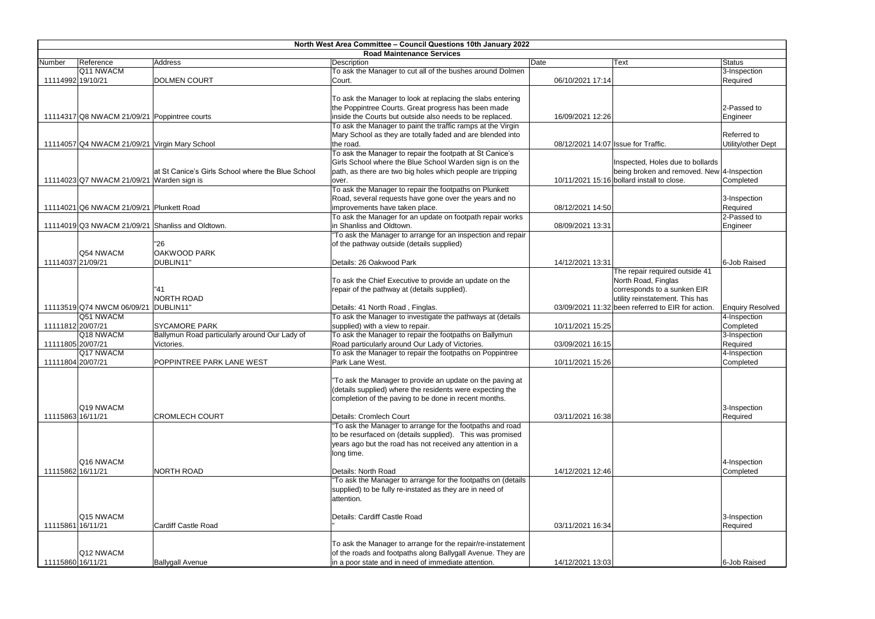|                   |                                                  |                                                   | North West Area Committee - Council Questions 10th January 2022 |                                     |                                                   |                         |
|-------------------|--------------------------------------------------|---------------------------------------------------|-----------------------------------------------------------------|-------------------------------------|---------------------------------------------------|-------------------------|
|                   |                                                  |                                                   | <b>Road Maintenance Services</b>                                |                                     |                                                   |                         |
| Number            | Reference                                        | Address                                           | Description                                                     | Date                                | <b>Text</b>                                       | Status                  |
|                   | Q11 NWACM                                        |                                                   | To ask the Manager to cut all of the bushes around Dolmen       |                                     |                                                   | 3-Inspection            |
|                   | 11114992 19/10/21                                | <b>DOLMEN COURT</b>                               | Court.                                                          | 06/10/2021 17:14                    |                                                   | Required                |
|                   |                                                  |                                                   |                                                                 |                                     |                                                   |                         |
|                   |                                                  |                                                   | To ask the Manager to look at replacing the slabs entering      |                                     |                                                   |                         |
|                   |                                                  |                                                   | the Poppintree Courts. Great progress has been made             |                                     |                                                   | 2-Passed to             |
|                   | 11114317 Q8 NWACM 21/09/21 Poppintree courts     |                                                   | inside the Courts but outside also needs to be replaced.        | 16/09/2021 12:26                    |                                                   | Engineer                |
|                   |                                                  |                                                   | To ask the Manager to paint the traffic ramps at the Virgin     |                                     |                                                   |                         |
|                   |                                                  |                                                   | Mary School as they are totally faded and are blended into      |                                     |                                                   | Referred to             |
|                   | 11114057 Q4 NWACM 21/09/21 Virgin Mary School    |                                                   | the road.                                                       | 08/12/2021 14:07 Issue for Traffic. |                                                   | Utility/other Dept      |
|                   |                                                  |                                                   | To ask the Manager to repair the footpath at St Canice's        |                                     |                                                   |                         |
|                   |                                                  |                                                   | Girls School where the Blue School Warden sign is on the        |                                     | Inspected, Holes due to bollards                  |                         |
|                   |                                                  | at St Canice's Girls School where the Blue School | path, as there are two big holes which people are tripping      |                                     | being broken and removed. New 4-Inspection        |                         |
|                   | 11114023 Q7 NWACM 21/09/21 Warden sign is        |                                                   | over.                                                           |                                     | 10/11/2021 15:16 bollard install to close.        | Completed               |
|                   |                                                  |                                                   | To ask the Manager to repair the footpaths on Plunkett          |                                     |                                                   |                         |
|                   |                                                  |                                                   | Road, several requests have gone over the years and no          |                                     |                                                   | 3-Inspection            |
|                   | 11114021 Q6 NWACM 21/09/21 Plunkett Road         |                                                   | improvements have taken place.                                  | 08/12/2021 14:50                    |                                                   | Required                |
|                   |                                                  |                                                   | To ask the Manager for an update on footpath repair works       |                                     |                                                   | 2-Passed to             |
|                   | 11114019 Q3 NWACM 21/09/21 Shanliss and Oldtown. |                                                   | in Shanliss and Oldtown.                                        | 08/09/2021 13:31                    |                                                   | Engineer                |
|                   |                                                  |                                                   | "To ask the Manager to arrange for an inspection and repair     |                                     |                                                   |                         |
|                   |                                                  |                                                   |                                                                 |                                     |                                                   |                         |
|                   |                                                  | "26                                               | of the pathway outside (details supplied)                       |                                     |                                                   |                         |
|                   | Q54 NWACM                                        | OAKWOOD PARK                                      |                                                                 |                                     |                                                   |                         |
| 11114037 21/09/21 |                                                  | DUBLIN11"                                         | Details: 26 Oakwood Park                                        | 14/12/2021 13:31                    |                                                   | 6-Job Raised            |
|                   |                                                  |                                                   |                                                                 |                                     | The repair required outside 41                    |                         |
|                   |                                                  |                                                   | To ask the Chief Executive to provide an update on the          |                                     | North Road, Finglas                               |                         |
|                   |                                                  | "41                                               | repair of the pathway at (details supplied).                    |                                     | corresponds to a sunken EIR                       |                         |
|                   |                                                  | NORTH ROAD                                        |                                                                 |                                     | utility reinstatement. This has                   |                         |
|                   | 11113519 Q74 NWCM 06/09/21                       | DUBLIN11                                          | Details: 41 North Road, Finglas.                                |                                     | 03/09/2021 11:32 been referred to EIR for action. | <b>Enquiry Resolved</b> |
|                   | Q51 NWACM                                        |                                                   | To ask the Manager to investigate the pathways at (details      |                                     |                                                   | 4-Inspection            |
|                   | 11111812 20/07/21                                | <b>SYCAMORE PARK</b>                              | supplied) with a view to repair.                                | 10/11/2021 15:25                    |                                                   | Completed               |
|                   | Q18 NWACM                                        | Ballymun Road particularly around Our Lady of     | To ask the Manager to repair the footpaths on Ballymun          |                                     |                                                   | 3-Inspection            |
| 11111805 20/07/21 |                                                  | Victories.                                        | Road particularly around Our Lady of Victories.                 | 03/09/2021 16:15                    |                                                   | Required                |
|                   | Q17 NWACM                                        |                                                   | To ask the Manager to repair the footpaths on Poppintree        |                                     |                                                   | 4-Inspection            |
|                   | 11111804 20/07/21                                | <b>POPPINTREE PARK LANE WEST</b>                  | Park Lane West.                                                 | 10/11/2021 15:26                    |                                                   | Completed               |
|                   |                                                  |                                                   |                                                                 |                                     |                                                   |                         |
|                   |                                                  |                                                   | "To ask the Manager to provide an update on the paving at       |                                     |                                                   |                         |
|                   |                                                  |                                                   | (details supplied) where the residents were expecting the       |                                     |                                                   |                         |
|                   |                                                  |                                                   | completion of the paving to be done in recent months.           |                                     |                                                   |                         |
|                   | Q19 NWACM                                        |                                                   |                                                                 |                                     |                                                   | 3-Inspection            |
|                   | 11115863 16/11/21                                | <b>CROMLECH COURT</b>                             | Details: Cromlech Court                                         | 03/11/2021 16:38                    |                                                   | Required                |
|                   |                                                  |                                                   | "To ask the Manager to arrange for the footpaths and road       |                                     |                                                   |                         |
|                   |                                                  |                                                   |                                                                 |                                     |                                                   |                         |
|                   |                                                  |                                                   | to be resurfaced on (details supplied). This was promised       |                                     |                                                   |                         |
|                   |                                                  |                                                   | years ago but the road has not received any attention in a      |                                     |                                                   |                         |
|                   |                                                  |                                                   | long time.                                                      |                                     |                                                   |                         |
|                   | Q16 NWACM                                        |                                                   |                                                                 |                                     |                                                   | 4-Inspection            |
|                   | 11115862 16/11/21                                | NORTH ROAD                                        | Details: North Road                                             | 14/12/2021 12:46                    |                                                   | Completed               |
|                   |                                                  |                                                   | "To ask the Manager to arrange for the footpaths on (details    |                                     |                                                   |                         |
|                   |                                                  |                                                   | supplied) to be fully re-instated as they are in need of        |                                     |                                                   |                         |
|                   |                                                  |                                                   | attention.                                                      |                                     |                                                   |                         |
|                   |                                                  |                                                   |                                                                 |                                     |                                                   |                         |
|                   | Q15 NWACM                                        |                                                   | Details: Cardiff Castle Road                                    |                                     |                                                   | 3-Inspection            |
|                   | 11115861 16/11/21                                | Cardiff Castle Road                               |                                                                 | 03/11/2021 16:34                    |                                                   | Required                |
|                   |                                                  |                                                   |                                                                 |                                     |                                                   |                         |
|                   |                                                  |                                                   | To ask the Manager to arrange for the repair/re-instatement     |                                     |                                                   |                         |
|                   | Q12 NWACM                                        |                                                   | of the roads and footpaths along Ballygall Avenue. They are     |                                     |                                                   |                         |
| 11115860 16/11/21 |                                                  | <b>Ballygall Avenue</b>                           | in a poor state and in need of immediate attention.             | 14/12/2021 13:03                    |                                                   | 6-Job Raised            |
|                   |                                                  |                                                   |                                                                 |                                     |                                                   |                         |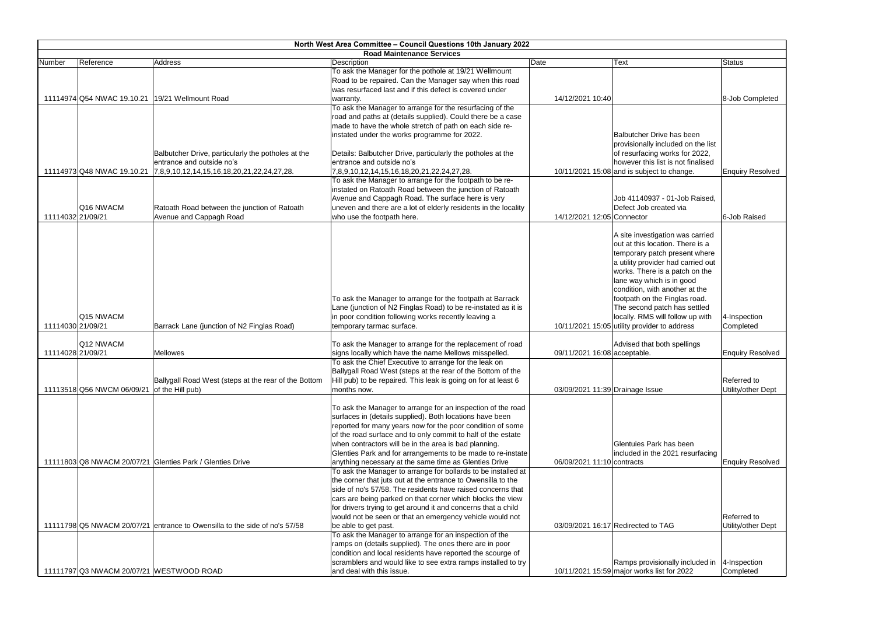|        |                                          |                                                                            | North West Area Committee - Council Questions 10th January 2022                                                               |                                 |                                                         |                         |
|--------|------------------------------------------|----------------------------------------------------------------------------|-------------------------------------------------------------------------------------------------------------------------------|---------------------------------|---------------------------------------------------------|-------------------------|
| Number | Reference                                | Address                                                                    | <b>Road Maintenance Services</b><br>Description                                                                               | Date                            | Text                                                    | <b>Status</b>           |
|        |                                          |                                                                            | To ask the Manager for the pothole at 19/21 Wellmount                                                                         |                                 |                                                         |                         |
|        |                                          |                                                                            | Road to be repaired. Can the Manager say when this road                                                                       |                                 |                                                         |                         |
|        |                                          |                                                                            | was resurfaced last and if this defect is covered under                                                                       |                                 |                                                         |                         |
|        | 11114974 Q54 NWAC 19.10.21               | 19/21 Wellmount Road                                                       | warranty.                                                                                                                     | 14/12/2021 10:40                |                                                         | 8-Job Completed         |
|        |                                          |                                                                            | To ask the Manager to arrange for the resurfacing of the                                                                      |                                 |                                                         |                         |
|        |                                          |                                                                            | road and paths at (details supplied). Could there be a case                                                                   |                                 |                                                         |                         |
|        |                                          |                                                                            | made to have the whole stretch of path on each side re-                                                                       |                                 |                                                         |                         |
|        |                                          |                                                                            | instated under the works programme for 2022.                                                                                  |                                 | Balbutcher Drive has been                               |                         |
|        |                                          |                                                                            |                                                                                                                               |                                 | provisionally included on the list                      |                         |
|        |                                          | Balbutcher Drive, particularly the potholes at the                         | Details: Balbutcher Drive, particularly the potholes at the                                                                   |                                 | of resurfacing works for 2022,                          |                         |
|        |                                          | entrance and outside no's                                                  | entrance and outside no's                                                                                                     |                                 | however this list is not finalised                      |                         |
|        | 11114973 Q48 NWAC 19.10.21               | 7,8,9,10,12,14,15,16,18,20,21,22,24,27,28.                                 | 7,8,9,10,12,14,15,16,18,20,21,22,24,27,28.                                                                                    |                                 | 10/11/2021 15:08 and is subject to change.              | <b>Enquiry Resolved</b> |
|        |                                          |                                                                            | To ask the Manager to arrange for the footpath to be re-                                                                      |                                 |                                                         |                         |
|        |                                          |                                                                            | instated on Ratoath Road between the junction of Ratoath                                                                      |                                 |                                                         |                         |
|        | Q16 NWACM                                |                                                                            | Avenue and Cappagh Road. The surface here is very                                                                             |                                 | Job 41140937 - 01-Job Raised,<br>Defect Job created via |                         |
|        | 11114032 21/09/21                        | Ratoath Road between the junction of Ratoath                               | uneven and there are a lot of elderly residents in the locality                                                               | 14/12/2021 12:05 Connector      |                                                         | 6-Job Raised            |
|        |                                          | Avenue and Cappagh Road                                                    | who use the footpath here.                                                                                                    |                                 |                                                         |                         |
|        |                                          |                                                                            |                                                                                                                               |                                 | A site investigation was carried                        |                         |
|        |                                          |                                                                            |                                                                                                                               |                                 | out at this location. There is a                        |                         |
|        |                                          |                                                                            |                                                                                                                               |                                 | temporary patch present where                           |                         |
|        |                                          |                                                                            |                                                                                                                               |                                 | a utility provider had carried out                      |                         |
|        |                                          |                                                                            |                                                                                                                               |                                 | works. There is a patch on the                          |                         |
|        |                                          |                                                                            |                                                                                                                               |                                 | lane way which is in good                               |                         |
|        |                                          |                                                                            |                                                                                                                               |                                 | condition, with another at the                          |                         |
|        |                                          |                                                                            | To ask the Manager to arrange for the footpath at Barrack                                                                     |                                 | footpath on the Finglas road.                           |                         |
|        |                                          |                                                                            | Lane (junction of N2 Finglas Road) to be re-instated as it is                                                                 |                                 | The second patch has settled                            |                         |
|        | Q15 NWACM                                |                                                                            | in poor condition following works recently leaving a                                                                          |                                 | locally. RMS will follow up with                        | 4-Inspection            |
|        | 11114030 21/09/21                        | Barrack Lane (junction of N2 Finglas Road)                                 | temporary tarmac surface.                                                                                                     |                                 | 10/11/2021 15:05 utility provider to address            | Completed               |
|        |                                          |                                                                            |                                                                                                                               |                                 |                                                         |                         |
|        | Q12 NWACM                                |                                                                            | To ask the Manager to arrange for the replacement of road                                                                     |                                 | Advised that both spellings                             |                         |
|        | 11114028 21/09/21                        | <b>Mellowes</b>                                                            | signs locally which have the name Mellows misspelled.                                                                         | 09/11/2021 16:08 acceptable.    |                                                         | <b>Enquiry Resolved</b> |
|        |                                          |                                                                            | To ask the Chief Executive to arrange for the leak on                                                                         |                                 |                                                         |                         |
|        |                                          |                                                                            | Ballygall Road West (steps at the rear of the Bottom of the                                                                   |                                 |                                                         |                         |
|        |                                          | Ballygall Road West (steps at the rear of the Bottom                       | Hill pub) to be repaired. This leak is going on for at least 6                                                                |                                 |                                                         | Referred to             |
|        | 11113518 Q56 NWCM 06/09/21               | of the Hill pub)                                                           | months now.                                                                                                                   | 03/09/2021 11:39 Drainage Issue |                                                         | Utility/other Dept      |
|        |                                          |                                                                            |                                                                                                                               |                                 |                                                         |                         |
|        |                                          |                                                                            | To ask the Manager to arrange for an inspection of the road                                                                   |                                 |                                                         |                         |
|        |                                          |                                                                            | surfaces in (details supplied). Both locations have been                                                                      |                                 |                                                         |                         |
|        |                                          |                                                                            | reported for many years now for the poor condition of some                                                                    |                                 |                                                         |                         |
|        |                                          |                                                                            | of the road surface and to only commit to half of the estate                                                                  |                                 | Glentuies Park has been                                 |                         |
|        |                                          |                                                                            | when contractors will be in the area is bad planning.<br>Glenties Park and for arrangements to be made to re-instate          |                                 |                                                         |                         |
|        |                                          | 11111803 Q8 NWACM 20/07/21 Glenties Park / Glenties Drive                  |                                                                                                                               | 06/09/2021 11:10 contracts      | included in the 2021 resurfacing                        |                         |
|        |                                          |                                                                            | anything necessary at the same time as Glenties Drive                                                                         |                                 |                                                         | <b>Enquiry Resolved</b> |
|        |                                          |                                                                            | To ask the Manager to arrange for bollards to be installed at<br>the corner that juts out at the entrance to Owensilla to the |                                 |                                                         |                         |
|        |                                          |                                                                            | side of no's 57/58. The residents have raised concerns that                                                                   |                                 |                                                         |                         |
|        |                                          |                                                                            | cars are being parked on that corner which blocks the view                                                                    |                                 |                                                         |                         |
|        |                                          |                                                                            | for drivers trying to get around it and concerns that a child                                                                 |                                 |                                                         |                         |
|        |                                          |                                                                            | would not be seen or that an emergency vehicle would not                                                                      |                                 |                                                         | Referred to             |
|        |                                          | 11111798 Q5 NWACM 20/07/21 entrance to Owensilla to the side of no's 57/58 | be able to get past.                                                                                                          |                                 | 03/09/2021 16:17 Redirected to TAG                      | Utility/other Dept      |
|        |                                          |                                                                            | To ask the Manager to arrange for an inspection of the                                                                        |                                 |                                                         |                         |
|        |                                          |                                                                            | ramps on (details supplied). The ones there are in poor                                                                       |                                 |                                                         |                         |
|        |                                          |                                                                            | condition and local residents have reported the scourge of                                                                    |                                 |                                                         |                         |
|        |                                          |                                                                            | scramblers and would like to see extra ramps installed to try                                                                 |                                 | Ramps provisionally included in                         | 4-Inspection            |
|        | 11111797 Q3 NWACM 20/07/21 WESTWOOD ROAD |                                                                            | and deal with this issue.                                                                                                     |                                 | 10/11/2021 15:59 major works list for 2022              | Completed               |
|        |                                          |                                                                            |                                                                                                                               |                                 |                                                         |                         |

| Text                                                                                                                                                                                                                                                                                                                                                                             | <b>Status</b>                     |
|----------------------------------------------------------------------------------------------------------------------------------------------------------------------------------------------------------------------------------------------------------------------------------------------------------------------------------------------------------------------------------|-----------------------------------|
|                                                                                                                                                                                                                                                                                                                                                                                  |                                   |
|                                                                                                                                                                                                                                                                                                                                                                                  | 8-Job Completed                   |
| Balbutcher Drive has been<br>provisionally included on the list<br>of resurfacing works for 2022,<br>however this list is not finalised<br>and is subject to change.                                                                                                                                                                                                             | <b>Enquiry Resolved</b>           |
| Job 41140937 - 01-Job Raised,<br>Defect Job created via<br>Connector                                                                                                                                                                                                                                                                                                             | 6-Job Raised                      |
| A site investigation was carried<br>out at this location. There is a<br>temporary patch present where<br>a utility provider had carried out<br>works. There is a patch on the<br>lane way which is in good<br>condition, with another at the<br>footpath on the Finglas road.<br>The second patch has settled<br>locally. RMS will follow up with<br>utility provider to address | 4-Inspection<br>Completed         |
| Advised that both spellings<br>acceptable.                                                                                                                                                                                                                                                                                                                                       | <b>Enquiry Resolved</b>           |
| Drainage Issue                                                                                                                                                                                                                                                                                                                                                                   | Referred to<br>Utility/other Dept |
| Glentuies Park has been<br>included in the 2021 resurfacing<br>contracts                                                                                                                                                                                                                                                                                                         | <b>Enquiry Resolved</b>           |
| Redirected to TAG                                                                                                                                                                                                                                                                                                                                                                | Referred to<br>Utility/other Dept |
| Ramps provisionally included in                                                                                                                                                                                                                                                                                                                                                  | 4-Inspection                      |
| major works list for 2022                                                                                                                                                                                                                                                                                                                                                        | Completed                         |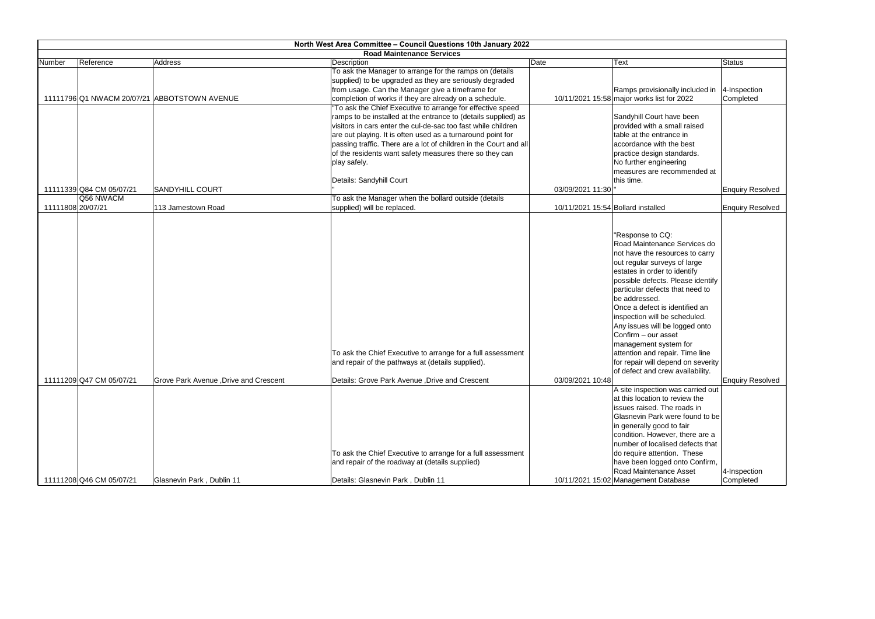|                   |                          |                                              | North West Area Committee - Council Questions 10th January 2022   |                                    |                                               |                         |
|-------------------|--------------------------|----------------------------------------------|-------------------------------------------------------------------|------------------------------------|-----------------------------------------------|-------------------------|
|                   |                          |                                              | <b>Road Maintenance Services</b>                                  |                                    |                                               |                         |
| Number            | Reference                | Address                                      | Description                                                       | Date                               | <b>Text</b>                                   | <b>Status</b>           |
|                   |                          |                                              | To ask the Manager to arrange for the ramps on (details           |                                    |                                               |                         |
|                   |                          |                                              | supplied) to be upgraded as they are seriously degraded           |                                    |                                               |                         |
|                   |                          |                                              | from usage. Can the Manager give a timeframe for                  |                                    | Ramps provisionally included in  4-Inspection |                         |
|                   |                          | 11111796 Q1 NWACM 20/07/21 ABBOTSTOWN AVENUE | completion of works if they are already on a schedule.            |                                    | 10/11/2021 15:58 major works list for 2022    | Completed               |
|                   |                          |                                              | "To ask the Chief Executive to arrange for effective speed        |                                    |                                               |                         |
|                   |                          |                                              | ramps to be installed at the entrance to (details supplied) as    |                                    | Sandyhill Court have been                     |                         |
|                   |                          |                                              | visitors in cars enter the cul-de-sac too fast while children     |                                    | provided with a small raised                  |                         |
|                   |                          |                                              | are out playing. It is often used as a turnaround point for       |                                    | table at the entrance in                      |                         |
|                   |                          |                                              | passing traffic. There are a lot of children in the Court and all |                                    | accordance with the best                      |                         |
|                   |                          |                                              | of the residents want safety measures there so they can           |                                    | practice design standards.                    |                         |
|                   |                          |                                              | play safely.                                                      |                                    | No further engineering                        |                         |
|                   |                          |                                              |                                                                   |                                    | measures are recommended at                   |                         |
|                   |                          |                                              | Details: Sandyhill Court                                          |                                    | this time.                                    |                         |
|                   | 11111339 Q84 CM 05/07/21 | <b>SANDYHILL COURT</b>                       |                                                                   | 03/09/2021 11:30                   |                                               | <b>Enquiry Resolved</b> |
|                   | Q56 NWACM                |                                              | To ask the Manager when the bollard outside (details              |                                    |                                               |                         |
| 11111808 20/07/21 |                          | 113 Jamestown Road                           | supplied) will be replaced.                                       | 10/11/2021 15:54 Bollard installed |                                               | <b>Enquiry Resolved</b> |
|                   |                          |                                              |                                                                   |                                    |                                               |                         |
|                   |                          |                                              |                                                                   |                                    | "Response to CQ:                              |                         |
|                   |                          |                                              |                                                                   |                                    | Road Maintenance Services do                  |                         |
|                   |                          |                                              |                                                                   |                                    | not have the resources to carry               |                         |
|                   |                          |                                              |                                                                   |                                    | out regular surveys of large                  |                         |
|                   |                          |                                              |                                                                   |                                    | estates in order to identify                  |                         |
|                   |                          |                                              |                                                                   |                                    | possible defects. Please identify             |                         |
|                   |                          |                                              |                                                                   |                                    | particular defects that need to               |                         |
|                   |                          |                                              |                                                                   |                                    | be addressed.                                 |                         |
|                   |                          |                                              |                                                                   |                                    | Once a defect is identified an                |                         |
|                   |                          |                                              |                                                                   |                                    | inspection will be scheduled.                 |                         |
|                   |                          |                                              |                                                                   |                                    | Any issues will be logged onto                |                         |
|                   |                          |                                              |                                                                   |                                    | Confirm - our asset                           |                         |
|                   |                          |                                              |                                                                   |                                    | management system for                         |                         |
|                   |                          |                                              | To ask the Chief Executive to arrange for a full assessment       |                                    | attention and repair. Time line               |                         |
|                   |                          |                                              | and repair of the pathways at (details supplied).                 |                                    | for repair will depend on severity            |                         |
|                   |                          |                                              |                                                                   |                                    | of defect and crew availability.              |                         |
|                   | 11111209 Q47 CM 05/07/21 | Grove Park Avenue , Drive and Crescent       | Details: Grove Park Avenue , Drive and Crescent                   | 03/09/2021 10:48                   |                                               | <b>Enquiry Resolved</b> |
|                   |                          |                                              |                                                                   |                                    | A site inspection was carried out             |                         |
|                   |                          |                                              |                                                                   |                                    | at this location to review the                |                         |
|                   |                          |                                              |                                                                   |                                    | issues raised. The roads in                   |                         |
|                   |                          |                                              |                                                                   |                                    | Glasnevin Park were found to be               |                         |
|                   |                          |                                              |                                                                   |                                    | in generally good to fair                     |                         |
|                   |                          |                                              |                                                                   |                                    | condition. However, there are a               |                         |
|                   |                          |                                              |                                                                   |                                    | number of localised defects that              |                         |
|                   |                          |                                              | To ask the Chief Executive to arrange for a full assessment       |                                    | do require attention. These                   |                         |
|                   |                          |                                              | and repair of the roadway at (details supplied)                   |                                    | have been logged onto Confirm,                |                         |
|                   |                          |                                              |                                                                   |                                    | Road Maintenance Asset                        | 4-Inspection            |
|                   | 11111208 Q46 CM 05/07/21 | Glasnevin Park, Dublin 11                    | Details: Glasnevin Park, Dublin 11                                |                                    | 10/11/2021 15:02 Management Database          | Completed               |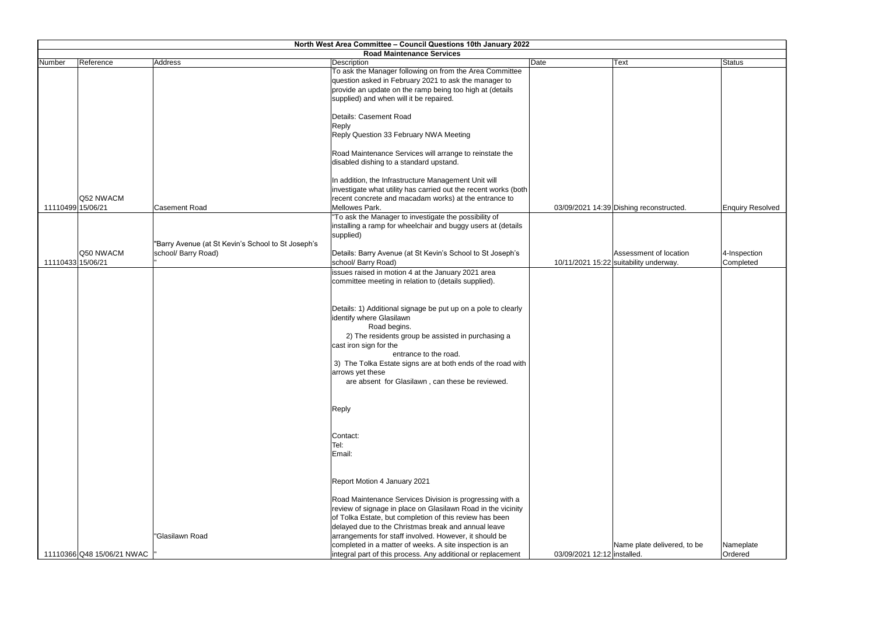|        |                                |                                                                           | North West Area Committee - Council Questions 10th January 2022<br><b>Road Maintenance Services</b>                                                                                                                     |                             |                                                                  |                           |
|--------|--------------------------------|---------------------------------------------------------------------------|-------------------------------------------------------------------------------------------------------------------------------------------------------------------------------------------------------------------------|-----------------------------|------------------------------------------------------------------|---------------------------|
| Number | Reference                      | Address                                                                   | Description                                                                                                                                                                                                             | Date                        | <b>Text</b>                                                      | Status                    |
|        |                                |                                                                           | To ask the Manager following on from the Area Committee<br>question asked in February 2021 to ask the manager to<br>provide an update on the ramp being too high at (details<br>supplied) and when will it be repaired. |                             |                                                                  |                           |
|        |                                |                                                                           | Details: Casement Road<br>Reply<br>Reply Question 33 February NWA Meeting                                                                                                                                               |                             |                                                                  |                           |
|        |                                |                                                                           | Road Maintenance Services will arrange to reinstate the<br>disabled dishing to a standard upstand.                                                                                                                      |                             |                                                                  |                           |
|        | Q52 NWACM                      |                                                                           | In addition, the Infrastructure Management Unit will<br>investigate what utility has carried out the recent works (both<br>recent concrete and macadam works) at the entrance to                                        |                             |                                                                  |                           |
|        | 11110499 15/06/21              | <b>Casement Road</b>                                                      | Mellowes Park.                                                                                                                                                                                                          |                             | 03/09/2021 14:39 Dishing reconstructed.                          | <b>Enquiry Resolved</b>   |
|        |                                |                                                                           | "To ask the Manager to investigate the possibility of<br>installing a ramp for wheelchair and buggy users at (details<br>supplied)                                                                                      |                             |                                                                  |                           |
|        | Q50 NWACM<br>11110433 15/06/21 | "Barry Avenue (at St Kevin's School to St Joseph's<br>school/ Barry Road) | Details: Barry Avenue (at St Kevin's School to St Joseph's<br>school/ Barry Road)                                                                                                                                       |                             | Assessment of location<br>10/11/2021 15:22 suitability underway. | 4-Inspection<br>Completed |
|        |                                |                                                                           | issues raised in motion 4 at the January 2021 area<br>committee meeting in relation to (details supplied).                                                                                                              |                             |                                                                  |                           |
|        |                                |                                                                           | Details: 1) Additional signage be put up on a pole to clearly<br>identify where Glasilawn<br>Road begins.<br>2) The residents group be assisted in purchasing a<br>cast iron sign for the                               |                             |                                                                  |                           |
|        |                                |                                                                           | entrance to the road.<br>3) The Tolka Estate signs are at both ends of the road with<br>arrows yet these<br>are absent for Glasilawn, can these be reviewed.                                                            |                             |                                                                  |                           |
|        |                                |                                                                           | Reply                                                                                                                                                                                                                   |                             |                                                                  |                           |
|        |                                |                                                                           | Contact:<br>Tel:<br>Email:                                                                                                                                                                                              |                             |                                                                  |                           |
|        |                                |                                                                           | Report Motion 4 January 2021                                                                                                                                                                                            |                             |                                                                  |                           |
|        |                                |                                                                           | Road Maintenance Services Division is progressing with a<br>review of signage in place on Glasilawn Road in the vicinity<br>of Tolka Estate, but completion of this review has been                                     |                             |                                                                  |                           |
|        |                                | "Glasilawn Road                                                           | delayed due to the Christmas break and annual leave<br>arrangements for staff involved. However, it should be                                                                                                           |                             |                                                                  |                           |
|        | 11110366 Q48 15/06/21 NWAC     |                                                                           | completed in a matter of weeks. A site inspection is an<br>integral part of this process. Any additional or replacement                                                                                                 | 03/09/2021 12:12 installed. | Name plate delivered, to be                                      | Nameplate<br>Ordered      |

|                 | Status                  |
|-----------------|-------------------------|
|                 |                         |
|                 |                         |
|                 |                         |
|                 |                         |
|                 |                         |
|                 |                         |
|                 |                         |
|                 |                         |
|                 |                         |
|                 |                         |
|                 |                         |
|                 |                         |
|                 |                         |
| structed.       | <b>Enquiry Resolved</b> |
|                 |                         |
|                 |                         |
|                 |                         |
|                 |                         |
| of location     | 4-Inspection            |
| lerway.         | Completed               |
|                 |                         |
|                 |                         |
|                 |                         |
|                 |                         |
|                 |                         |
|                 |                         |
|                 |                         |
|                 |                         |
|                 |                         |
|                 |                         |
|                 |                         |
|                 |                         |
|                 |                         |
|                 |                         |
|                 |                         |
|                 |                         |
|                 |                         |
|                 |                         |
|                 |                         |
|                 |                         |
|                 |                         |
|                 |                         |
|                 |                         |
|                 |                         |
|                 |                         |
|                 |                         |
| elivered, to be | Nameplate               |
|                 | Ordered                 |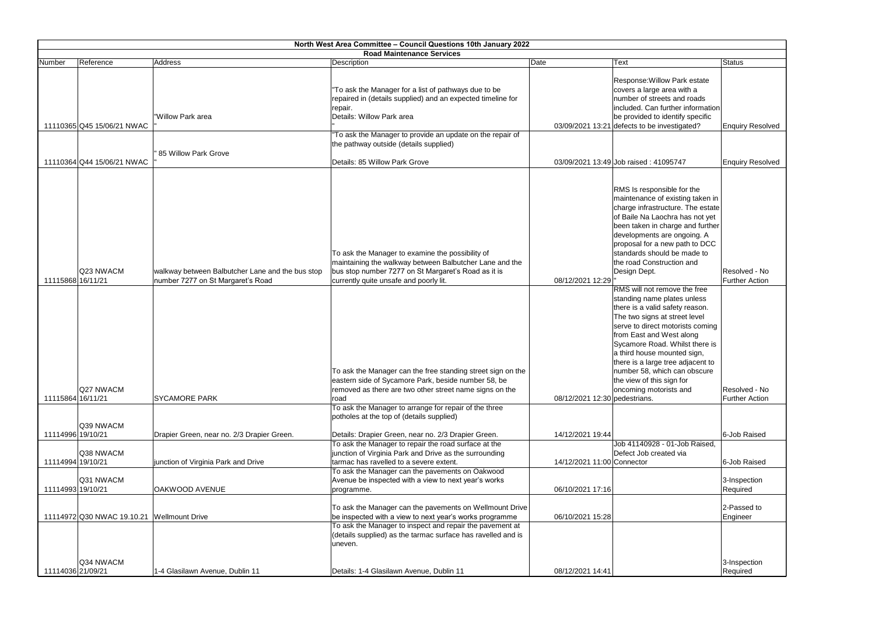|                                        |                                            |                                                                                                               | North West Area Committee - Council Questions 10th January 2022                                                                                                                                                                                                                                                                                                                                                                                                                                             |                                                   |                                                                                                                                                                                                                                                                                                                                                                                                                                                                                                                                                                                                                                                                                                                         |                                                                                  |
|----------------------------------------|--------------------------------------------|---------------------------------------------------------------------------------------------------------------|-------------------------------------------------------------------------------------------------------------------------------------------------------------------------------------------------------------------------------------------------------------------------------------------------------------------------------------------------------------------------------------------------------------------------------------------------------------------------------------------------------------|---------------------------------------------------|-------------------------------------------------------------------------------------------------------------------------------------------------------------------------------------------------------------------------------------------------------------------------------------------------------------------------------------------------------------------------------------------------------------------------------------------------------------------------------------------------------------------------------------------------------------------------------------------------------------------------------------------------------------------------------------------------------------------------|----------------------------------------------------------------------------------|
|                                        |                                            |                                                                                                               | <b>Road Maintenance Services</b>                                                                                                                                                                                                                                                                                                                                                                                                                                                                            |                                                   |                                                                                                                                                                                                                                                                                                                                                                                                                                                                                                                                                                                                                                                                                                                         |                                                                                  |
| Number                                 | Reference                                  | Address                                                                                                       | Description                                                                                                                                                                                                                                                                                                                                                                                                                                                                                                 | Date                                              | <b>Text</b>                                                                                                                                                                                                                                                                                                                                                                                                                                                                                                                                                                                                                                                                                                             | <b>Status</b>                                                                    |
|                                        | 11110365 Q45 15/06/21 NWAC                 | "Willow Park area                                                                                             | "To ask the Manager for a list of pathways due to be<br>repaired in (details supplied) and an expected timeline for<br>repair.<br>Details: Willow Park area                                                                                                                                                                                                                                                                                                                                                 |                                                   | Response: Willow Park estate<br>covers a large area with a<br>number of streets and roads<br>included. Can further information<br>be provided to identify specific<br>03/09/2021 13:21 defects to be investigated?                                                                                                                                                                                                                                                                                                                                                                                                                                                                                                      | <b>Enquiry Resolved</b>                                                          |
|                                        |                                            | 85 Willow Park Grove                                                                                          | "To ask the Manager to provide an update on the repair of<br>the pathway outside (details supplied)                                                                                                                                                                                                                                                                                                                                                                                                         |                                                   |                                                                                                                                                                                                                                                                                                                                                                                                                                                                                                                                                                                                                                                                                                                         |                                                                                  |
|                                        | 11110364 Q44 15/06/21 NWAC                 |                                                                                                               | Details: 85 Willow Park Grove                                                                                                                                                                                                                                                                                                                                                                                                                                                                               |                                                   | 03/09/2021 13:49 Job raised: 41095747                                                                                                                                                                                                                                                                                                                                                                                                                                                                                                                                                                                                                                                                                   | <b>Enquiry Resolved</b>                                                          |
| 11115868 16/11/21<br>11115864 16/11/21 | Q23 NWACM<br>Q27 NWACM                     | walkway between Balbutcher Lane and the bus stop<br>number 7277 on St Margaret's Road<br><b>SYCAMORE PARK</b> | To ask the Manager to examine the possibility of<br>maintaining the walkway between Balbutcher Lane and the<br>bus stop number 7277 on St Margaret's Road as it is<br>currently quite unsafe and poorly lit.<br>To ask the Manager can the free standing street sign on the<br>eastern side of Sycamore Park, beside number 58, be<br>removed as there are two other street name signs on the<br>road<br>To ask the Manager to arrange for repair of the three<br>potholes at the top of (details supplied) | 08/12/2021 12:29<br>08/12/2021 12:30 pedestrians. | RMS Is responsible for the<br>maintenance of existing taken in<br>charge infrastructure. The estate<br>of Baile Na Laochra has not yet<br>been taken in charge and further<br>developments are ongoing. A<br>proposal for a new path to DCC<br>standards should be made to<br>the road Construction and<br>Design Dept.<br>RMS will not remove the free<br>standing name plates unless<br>there is a valid safety reason.<br>The two signs at street level<br>serve to direct motorists coming<br>from East and West along<br>Sycamore Road. Whilst there is<br>a third house mounted sign,<br>there is a large tree adjacent to<br>number 58, which can obscure<br>the view of this sign for<br>oncoming motorists and | Resolved - No<br><b>Further Action</b><br>Resolved - No<br><b>Further Action</b> |
| 11114996 19/10/21                      | Q39 NWACM                                  | Drapier Green, near no. 2/3 Drapier Green.                                                                    | Details: Drapier Green, near no. 2/3 Drapier Green.                                                                                                                                                                                                                                                                                                                                                                                                                                                         | 14/12/2021 19:44                                  |                                                                                                                                                                                                                                                                                                                                                                                                                                                                                                                                                                                                                                                                                                                         | 6-Job Raised                                                                     |
|                                        | Q38 NWACM                                  |                                                                                                               | To ask the Manager to repair the road surface at the<br>junction of Virginia Park and Drive as the surrounding                                                                                                                                                                                                                                                                                                                                                                                              |                                                   | Job 41140928 - 01-Job Raised,<br>Defect Job created via                                                                                                                                                                                                                                                                                                                                                                                                                                                                                                                                                                                                                                                                 |                                                                                  |
| 11114994 19/10/21                      |                                            | junction of Virginia Park and Drive                                                                           | tarmac has ravelled to a severe extent.                                                                                                                                                                                                                                                                                                                                                                                                                                                                     | 14/12/2021 11:00 Connector                        |                                                                                                                                                                                                                                                                                                                                                                                                                                                                                                                                                                                                                                                                                                                         | 6-Job Raised                                                                     |
| 11114993 19/10/21                      | Q31 NWACM                                  | OAKWOOD AVENUE                                                                                                | To ask the Manager can the pavements on Oakwood<br>Avenue be inspected with a view to next year's works<br>programme.                                                                                                                                                                                                                                                                                                                                                                                       | 06/10/2021 17:16                                  |                                                                                                                                                                                                                                                                                                                                                                                                                                                                                                                                                                                                                                                                                                                         | 3-Inspection<br>Required                                                         |
|                                        | 11114972 Q30 NWAC 19.10.21 Wellmount Drive |                                                                                                               | To ask the Manager can the pavements on Wellmount Drive<br>be inspected with a view to next year's works programme<br>To ask the Manager to inspect and repair the pavement at<br>(details supplied) as the tarmac surface has ravelled and is<br>uneven.                                                                                                                                                                                                                                                   | 06/10/2021 15:28                                  |                                                                                                                                                                                                                                                                                                                                                                                                                                                                                                                                                                                                                                                                                                                         | 2-Passed to<br>Engineer                                                          |
| 11114036 21/09/21                      | Q34 NWACM                                  | 1-4 Glasilawn Avenue, Dublin 11                                                                               | Details: 1-4 Glasilawn Avenue, Dublin 11                                                                                                                                                                                                                                                                                                                                                                                                                                                                    | 08/12/2021 14:41                                  |                                                                                                                                                                                                                                                                                                                                                                                                                                                                                                                                                                                                                                                                                                                         | 3-Inspection<br>Required                                                         |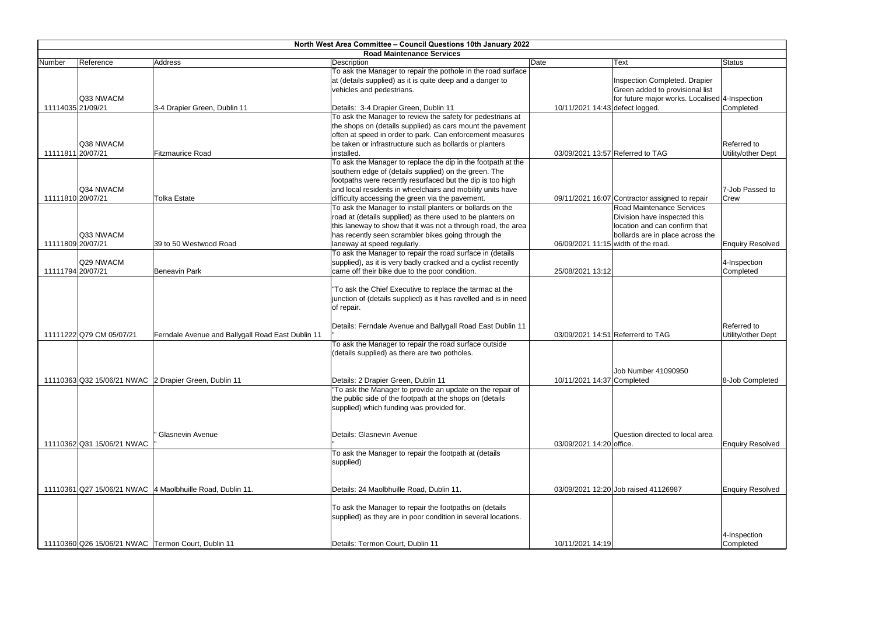|                   | North West Area Committee - Council Questions 10th January 2022                                                    |                                                             |                                                                                                                 |                                 |                                                |                           |  |
|-------------------|--------------------------------------------------------------------------------------------------------------------|-------------------------------------------------------------|-----------------------------------------------------------------------------------------------------------------|---------------------------------|------------------------------------------------|---------------------------|--|
|                   | <b>Road Maintenance Services</b><br>Reference<br>Description<br>Address<br>Date<br><b>Status</b><br>Number<br>Text |                                                             |                                                                                                                 |                                 |                                                |                           |  |
|                   |                                                                                                                    |                                                             | To ask the Manager to repair the pothole in the road surface                                                    |                                 |                                                |                           |  |
|                   |                                                                                                                    |                                                             | at (details supplied) as it is quite deep and a danger to                                                       |                                 | Inspection Completed. Drapier                  |                           |  |
|                   |                                                                                                                    |                                                             | vehicles and pedestrians.                                                                                       |                                 | Green added to provisional list                |                           |  |
|                   | Q33 NWACM                                                                                                          |                                                             |                                                                                                                 |                                 | for future major works. Localised 4-Inspection |                           |  |
| 11114035 21/09/21 |                                                                                                                    | 3-4 Drapier Green, Dublin 11                                | Details: 3-4 Drapier Green, Dublin 11                                                                           | 10/11/2021 14:43 defect logged. |                                                | Completed                 |  |
|                   |                                                                                                                    |                                                             | To ask the Manager to review the safety for pedestrians at                                                      |                                 |                                                |                           |  |
|                   |                                                                                                                    |                                                             | the shops on (details supplied) as cars mount the pavement                                                      |                                 |                                                |                           |  |
|                   |                                                                                                                    |                                                             | often at speed in order to park. Can enforcement measures                                                       |                                 |                                                |                           |  |
|                   | Q38 NWACM                                                                                                          |                                                             | be taken or infrastructure such as bollards or planters                                                         |                                 |                                                | Referred to               |  |
| 11111811 20/07/21 |                                                                                                                    | <b>Fitzmaurice Road</b>                                     | installed.                                                                                                      |                                 | 03/09/2021 13:57 Referred to TAG               | Utility/other Dept        |  |
|                   |                                                                                                                    |                                                             | To ask the Manager to replace the dip in the footpath at the                                                    |                                 |                                                |                           |  |
|                   |                                                                                                                    |                                                             | southern edge of (details supplied) on the green. The                                                           |                                 |                                                |                           |  |
|                   |                                                                                                                    |                                                             | footpaths were recently resurfaced but the dip is too high                                                      |                                 |                                                |                           |  |
|                   | Q34 NWACM                                                                                                          |                                                             | and local residents in wheelchairs and mobility units have                                                      |                                 |                                                | 7-Job Passed to           |  |
| 11111810 20/07/21 |                                                                                                                    | <b>Tolka Estate</b>                                         | difficulty accessing the green via the pavement.                                                                |                                 | 09/11/2021 16:07 Contractor assigned to repair | Crew                      |  |
|                   |                                                                                                                    |                                                             | To ask the Manager to install planters or bollards on the                                                       |                                 | <b>Road Maintenance Services</b>               |                           |  |
|                   |                                                                                                                    |                                                             | road at (details supplied) as there used to be planters on                                                      |                                 | Division have inspected this                   |                           |  |
|                   |                                                                                                                    |                                                             | this laneway to show that it was not a through road, the area                                                   |                                 | location and can confirm that                  |                           |  |
|                   | Q33 NWACM                                                                                                          |                                                             | has recently seen scrambler bikes going through the                                                             |                                 | bollards are in place across the               |                           |  |
| 11111809 20/07/21 |                                                                                                                    | 39 to 50 Westwood Road                                      | laneway at speed regularly.                                                                                     |                                 | 06/09/2021 11:15 width of the road.            | <b>Enquiry Resolved</b>   |  |
|                   | Q29 NWACM                                                                                                          |                                                             | To ask the Manager to repair the road surface in (details                                                       |                                 |                                                |                           |  |
| 11111794 20/07/21 |                                                                                                                    | <b>Beneavin Park</b>                                        | supplied), as it is very badly cracked and a cyclist recently<br>came off their bike due to the poor condition. | 25/08/2021 13:12                |                                                | 4-Inspection<br>Completed |  |
|                   |                                                                                                                    |                                                             |                                                                                                                 |                                 |                                                |                           |  |
|                   |                                                                                                                    |                                                             | "To ask the Chief Executive to replace the tarmac at the                                                        |                                 |                                                |                           |  |
|                   |                                                                                                                    |                                                             | junction of (details supplied) as it has ravelled and is in need                                                |                                 |                                                |                           |  |
|                   |                                                                                                                    |                                                             | of repair.                                                                                                      |                                 |                                                |                           |  |
|                   |                                                                                                                    |                                                             |                                                                                                                 |                                 |                                                |                           |  |
|                   |                                                                                                                    |                                                             | Details: Ferndale Avenue and Ballygall Road East Dublin 11                                                      |                                 |                                                | Referred to               |  |
|                   | 11111222 Q79 CM 05/07/21                                                                                           | Ferndale Avenue and Ballygall Road East Dublin 11           |                                                                                                                 |                                 | 03/09/2021 14:51 Referrerd to TAG              | Utility/other Dept        |  |
|                   |                                                                                                                    |                                                             | To ask the Manager to repair the road surface outside                                                           |                                 |                                                |                           |  |
|                   |                                                                                                                    |                                                             | (details supplied) as there are two potholes.                                                                   |                                 |                                                |                           |  |
|                   |                                                                                                                    |                                                             |                                                                                                                 |                                 |                                                |                           |  |
|                   |                                                                                                                    |                                                             |                                                                                                                 |                                 | Job Number 41090950                            |                           |  |
|                   |                                                                                                                    | 11110363 Q32 15/06/21 NWAC 2 Drapier Green, Dublin 11       | Details: 2 Drapier Green, Dublin 11                                                                             | 10/11/2021 14:37 Completed      |                                                | 8-Job Completed           |  |
|                   |                                                                                                                    |                                                             | "To ask the Manager to provide an update on the repair of                                                       |                                 |                                                |                           |  |
|                   |                                                                                                                    |                                                             | the public side of the footpath at the shops on (details                                                        |                                 |                                                |                           |  |
|                   |                                                                                                                    |                                                             | supplied) which funding was provided for.                                                                       |                                 |                                                |                           |  |
|                   |                                                                                                                    |                                                             |                                                                                                                 |                                 |                                                |                           |  |
|                   |                                                                                                                    |                                                             |                                                                                                                 |                                 |                                                |                           |  |
|                   |                                                                                                                    | <b>Glasnevin Avenue</b>                                     | Details: Glasnevin Avenue                                                                                       |                                 | Question directed to local area                |                           |  |
|                   | 11110362 Q31 15/06/21 NWAC                                                                                         |                                                             |                                                                                                                 | 03/09/2021 14:20 office.        |                                                | <b>Enquiry Resolved</b>   |  |
|                   |                                                                                                                    |                                                             | To ask the Manager to repair the footpath at (details                                                           |                                 |                                                |                           |  |
|                   |                                                                                                                    |                                                             | supplied)                                                                                                       |                                 |                                                |                           |  |
|                   |                                                                                                                    |                                                             |                                                                                                                 |                                 |                                                |                           |  |
|                   |                                                                                                                    |                                                             |                                                                                                                 |                                 |                                                |                           |  |
|                   |                                                                                                                    | 11110361 Q27 15/06/21 NWAC   4 Maolbhuille Road, Dublin 11. | Details: 24 Maolbhuille Road, Dublin 11.                                                                        |                                 | 03/09/2021 12:20 Job raised 41126987           | <b>Enquiry Resolved</b>   |  |
|                   |                                                                                                                    |                                                             |                                                                                                                 |                                 |                                                |                           |  |
|                   |                                                                                                                    |                                                             | To ask the Manager to repair the footpaths on (details                                                          |                                 |                                                |                           |  |
|                   |                                                                                                                    |                                                             | supplied) as they are in poor condition in several locations.                                                   |                                 |                                                |                           |  |
|                   |                                                                                                                    |                                                             |                                                                                                                 |                                 |                                                |                           |  |
|                   |                                                                                                                    |                                                             |                                                                                                                 |                                 |                                                | 4-Inspection              |  |
|                   |                                                                                                                    | 11110360 Q26 15/06/21 NWAC Termon Court, Dublin 11          | Details: Termon Court, Dublin 11                                                                                | 10/11/2021 14:19                |                                                | Completed                 |  |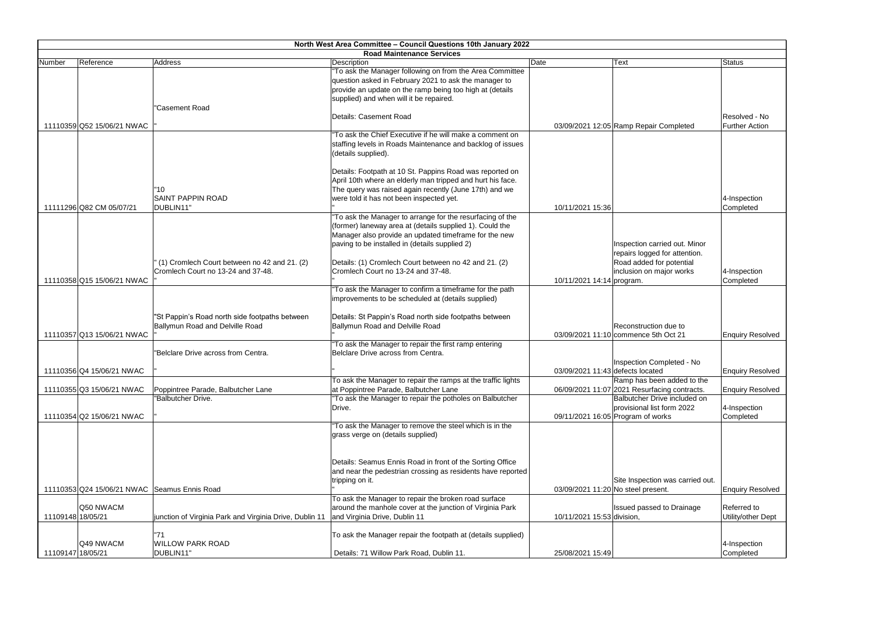|                   |                                              |                                                                                    | North West Area Committee - Council Questions 10th January 2022<br><b>Road Maintenance Services</b>                                                                                                                              |                                  |                                                                                                            |                     |
|-------------------|----------------------------------------------|------------------------------------------------------------------------------------|----------------------------------------------------------------------------------------------------------------------------------------------------------------------------------------------------------------------------------|----------------------------------|------------------------------------------------------------------------------------------------------------|---------------------|
| Number            | Reference                                    | Address                                                                            | Description                                                                                                                                                                                                                      | Date                             | Text                                                                                                       | Status              |
|                   |                                              |                                                                                    | "To ask the Manager following on from the Area Committee<br>question asked in February 2021 to ask the manager to<br>provide an update on the ramp being too high at (details<br>supplied) and when will it be repaired.         |                                  |                                                                                                            |                     |
|                   | 11110359 Q52 15/06/21 NWAC                   | "Casement Road                                                                     | Details: Casement Road                                                                                                                                                                                                           |                                  | 03/09/2021 12:05 Ramp Repair Completed                                                                     | Resol<br>Furthe     |
|                   |                                              |                                                                                    | "To ask the Chief Executive if he will make a comment on<br>staffing levels in Roads Maintenance and backlog of issues<br>(details supplied).                                                                                    |                                  |                                                                                                            |                     |
|                   | 11111296 Q82 CM 05/07/21                     | '10<br><b>SAINT PAPPIN ROAD</b><br>DUBLIN11"                                       | Details: Footpath at 10 St. Pappins Road was reported on<br>April 10th where an elderly man tripped and hurt his face.<br>The query was raised again recently (June 17th) and we<br>were told it has not been inspected yet.     | 10/11/2021 15:36                 |                                                                                                            | ∣4-Insp<br>Comp     |
|                   |                                              |                                                                                    | "To ask the Manager to arrange for the resurfacing of the<br>(former) laneway area at (details supplied 1). Could the<br>Manager also provide an updated timeframe for the new<br>paving to be installed in (details supplied 2) |                                  | Inspection carried out. Minor<br>repairs logged for attention.                                             |                     |
|                   | 11110358 Q15 15/06/21 NWAC                   | (1) Cromlech Court between no 42 and 21. (2)<br>Cromlech Court no 13-24 and 37-48. | Details: (1) Cromlech Court between no 42 and 21. (2)<br>Cromlech Court no 13-24 and 37-48.                                                                                                                                      | 10/11/2021 14:14 program.        | Road added for potential<br>inclusion on major works                                                       | 4-Insp<br>Comp      |
|                   |                                              | "St Pappin's Road north side footpaths between                                     | "To ask the Manager to confirm a timeframe for the path<br>improvements to be scheduled at (details supplied)<br>Details: St Pappin's Road north side footpaths between                                                          |                                  |                                                                                                            |                     |
|                   | 11110357 Q13 15/06/21 NWAC                   | Ballymun Road and Delville Road                                                    | Ballymun Road and Delville Road<br>"To ask the Manager to repair the first ramp entering                                                                                                                                         |                                  | Reconstruction due to<br>03/09/2021 11:10 commence 5th Oct 21                                              | Enqui               |
|                   |                                              | "Belclare Drive across from Centra.                                                | Belclare Drive across from Centra.                                                                                                                                                                                               |                                  | Inspection Completed - No                                                                                  |                     |
|                   | 11110356 Q4 15/06/21 NWAC                    |                                                                                    | To ask the Manager to repair the ramps at the traffic lights                                                                                                                                                                     | 03/09/2021 11:43 defects located | Ramp has been added to the                                                                                 | Enqui               |
|                   | 11110355 Q3 15/06/21 NWAC                    | Poppintree Parade, Balbutcher Lane<br>"Balbutcher Drive.                           | at Poppintree Parade, Balbutcher Lane<br>"To ask the Manager to repair the potholes on Balbutcher<br>Drive.                                                                                                                      |                                  | 06/09/2021 11:07 2021 Resurfacing contracts.<br>Balbutcher Drive included on<br>provisional list form 2022 | Enqui<br>$ 4$ -Insp |
|                   | 11110354 Q2 15/06/21 NWAC                    |                                                                                    | "To ask the Manager to remove the steel which is in the<br>grass verge on (details supplied)                                                                                                                                     |                                  | 09/11/2021 16:05 Program of works                                                                          | Comp                |
|                   |                                              |                                                                                    | Details: Seamus Ennis Road in front of the Sorting Office<br>and near the pedestrian crossing as residents have reported<br>tripping on it.                                                                                      |                                  | Site Inspection was carried out.                                                                           |                     |
|                   | 11110353 Q24 15/06/21 NWAC Seamus Ennis Road |                                                                                    |                                                                                                                                                                                                                                  |                                  | 03/09/2021 11:20 No steel present.                                                                         | Enqui               |
| 11109148 18/05/21 | Q50 NWACM                                    | junction of Virginia Park and Virginia Drive, Dublin 11                            | To ask the Manager to repair the broken road surface<br>around the manhole cover at the junction of Virginia Park<br>and Virginia Drive, Dublin 11                                                                               | 10/11/2021 15:53 division,       | Issued passed to Drainage                                                                                  | Referr<br>Utility/  |
| 11109147 18/05/21 | Q49 NWACM                                    | '71<br><b>WILLOW PARK ROAD</b><br>DUBLIN11'                                        | To ask the Manager repair the footpath at (details supplied)<br>Details: 71 Willow Park Road, Dublin 11.                                                                                                                         | 25/08/2021 15:49                 |                                                                                                            | $ 4$ -Insp<br>Comp  |
|                   |                                              |                                                                                    |                                                                                                                                                                                                                                  |                                  |                                                                                                            |                     |

| Text                                                                                                                               | <b>Status</b>                                      |
|------------------------------------------------------------------------------------------------------------------------------------|----------------------------------------------------|
| Ramp Repair Completed                                                                                                              | Resolved - No<br><b>Further Action</b>             |
|                                                                                                                                    | 4-Inspection<br>Completed                          |
| Inspection carried out. Minor<br>repairs logged for attention.<br>Road added for potential<br>inclusion on major works<br>program. | 4-Inspection<br>Completed                          |
| Reconstruction due to<br>commence 5th Oct 21                                                                                       | <b>Enquiry Resolved</b>                            |
| Inspection Completed - No<br>defects located<br>Ramp has been added to the<br>2021 Resurfacing contracts.                          | <b>Enquiry Resolved</b><br><b>Enquiry Resolved</b> |
| Balbutcher Drive included on<br>provisional list form 2022<br>Program of works                                                     | 4-Inspection<br>Completed                          |
| Site Inspection was carried out.<br>No steel present.                                                                              | <b>Enquiry Resolved</b>                            |
| <b>Issued passed to Drainage</b><br>division,                                                                                      | Referred to<br>Utility/other Dept                  |
|                                                                                                                                    | 4-Inspection<br>Completed                          |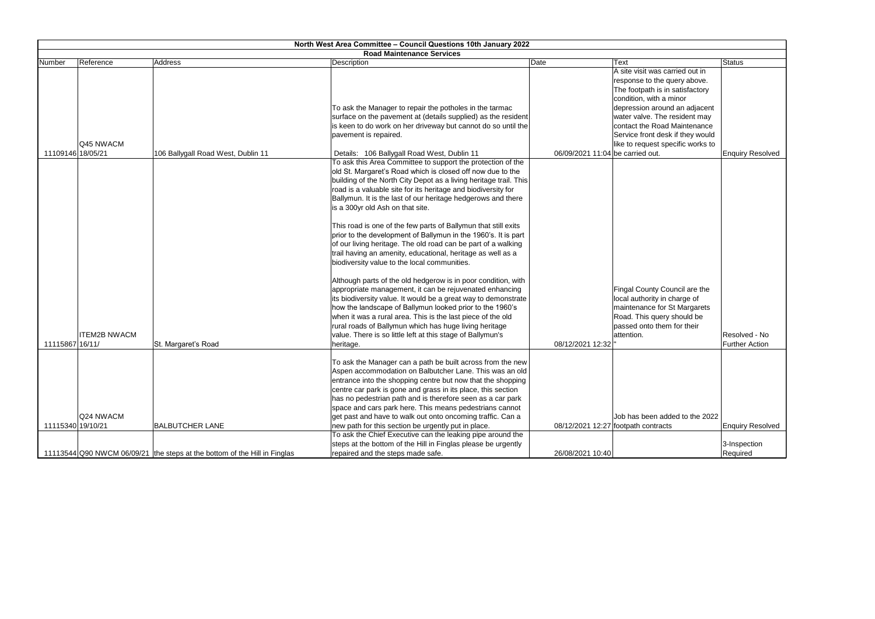| North West Area Committee - Council Questions 10th January 2022 |                                                                           |                                                                                                                           |                                  |                                                               |                         |
|-----------------------------------------------------------------|---------------------------------------------------------------------------|---------------------------------------------------------------------------------------------------------------------------|----------------------------------|---------------------------------------------------------------|-------------------------|
|                                                                 |                                                                           | <b>Road Maintenance Services</b>                                                                                          |                                  |                                                               |                         |
| Reference<br>Number                                             | <b>Address</b>                                                            | Description                                                                                                               | Date                             | <b>Text</b>                                                   | <b>Status</b>           |
|                                                                 |                                                                           |                                                                                                                           |                                  | A site visit was carried out in                               |                         |
|                                                                 |                                                                           |                                                                                                                           |                                  | response to the query above.                                  |                         |
|                                                                 |                                                                           |                                                                                                                           |                                  | The footpath is in satisfactory                               |                         |
|                                                                 |                                                                           |                                                                                                                           |                                  | condition, with a minor                                       |                         |
|                                                                 |                                                                           | To ask the Manager to repair the potholes in the tarmac                                                                   |                                  | depression around an adjacent                                 |                         |
|                                                                 |                                                                           | surface on the pavement at (details supplied) as the resident                                                             |                                  | water valve. The resident may                                 |                         |
|                                                                 |                                                                           | is keen to do work on her driveway but cannot do so until the                                                             |                                  | contact the Road Maintenance                                  |                         |
|                                                                 |                                                                           | pavement is repaired.                                                                                                     |                                  | Service front desk if they would                              |                         |
| Q45 NWACM                                                       |                                                                           |                                                                                                                           |                                  | like to request specific works to                             |                         |
| 11109146 18/05/21                                               | 106 Ballygall Road West, Dublin 11                                        | Details: 106 Ballygall Road West, Dublin 11                                                                               | 06/09/2021 11:04 be carried out. |                                                               | <b>Enquiry Resolved</b> |
|                                                                 |                                                                           | To ask this Area Committee to support the protection of the                                                               |                                  |                                                               |                         |
|                                                                 |                                                                           | old St. Margaret's Road which is closed off now due to the                                                                |                                  |                                                               |                         |
|                                                                 |                                                                           | building of the North City Depot as a living heritage trail. This                                                         |                                  |                                                               |                         |
|                                                                 |                                                                           | road is a valuable site for its heritage and biodiversity for                                                             |                                  |                                                               |                         |
|                                                                 |                                                                           | Ballymun. It is the last of our heritage hedgerows and there                                                              |                                  |                                                               |                         |
|                                                                 |                                                                           | is a 300yr old Ash on that site.                                                                                          |                                  |                                                               |                         |
|                                                                 |                                                                           |                                                                                                                           |                                  |                                                               |                         |
|                                                                 |                                                                           | This road is one of the few parts of Ballymun that still exits                                                            |                                  |                                                               |                         |
|                                                                 |                                                                           | prior to the development of Ballymun in the 1960's. It is part                                                            |                                  |                                                               |                         |
|                                                                 |                                                                           | of our living heritage. The old road can be part of a walking                                                             |                                  |                                                               |                         |
|                                                                 |                                                                           | trail having an amenity, educational, heritage as well as a                                                               |                                  |                                                               |                         |
|                                                                 |                                                                           | biodiversity value to the local communities.                                                                              |                                  |                                                               |                         |
|                                                                 |                                                                           |                                                                                                                           |                                  |                                                               |                         |
|                                                                 |                                                                           | Although parts of the old hedgerow is in poor condition, with                                                             |                                  |                                                               |                         |
|                                                                 |                                                                           | appropriate management, it can be rejuvenated enhancing<br>its biodiversity value. It would be a great way to demonstrate |                                  | Fingal County Council are the<br>local authority in charge of |                         |
|                                                                 |                                                                           | how the landscape of Ballymun looked prior to the 1960's                                                                  |                                  | maintenance for St Margarets                                  |                         |
|                                                                 |                                                                           | when it was a rural area. This is the last piece of the old                                                               |                                  | Road. This query should be                                    |                         |
|                                                                 |                                                                           | rural roads of Ballymun which has huge living heritage                                                                    |                                  | passed onto them for their                                    |                         |
| <b>ITEM2B NWACM</b>                                             |                                                                           | value. There is so little left at this stage of Ballymun's                                                                |                                  | attention.                                                    | Resolved - No           |
| 11115867 16/11/                                                 | St. Margaret's Road                                                       | heritage.                                                                                                                 | 08/12/2021 12:32                 |                                                               | <b>Further Action</b>   |
|                                                                 |                                                                           |                                                                                                                           |                                  |                                                               |                         |
|                                                                 |                                                                           | To ask the Manager can a path be built across from the new                                                                |                                  |                                                               |                         |
|                                                                 |                                                                           | Aspen accommodation on Balbutcher Lane. This was an old                                                                   |                                  |                                                               |                         |
|                                                                 |                                                                           | entrance into the shopping centre but now that the shopping                                                               |                                  |                                                               |                         |
|                                                                 |                                                                           | centre car park is gone and grass in its place, this section                                                              |                                  |                                                               |                         |
|                                                                 |                                                                           | has no pedestrian path and is therefore seen as a car park                                                                |                                  |                                                               |                         |
|                                                                 |                                                                           | space and cars park here. This means pedestrians cannot                                                                   |                                  |                                                               |                         |
| Q24 NWACM                                                       |                                                                           | get past and have to walk out onto oncoming traffic. Can a                                                                |                                  | Job has been added to the 2022                                |                         |
| 11115340 19/10/21                                               | <b>BALBUTCHER LANE</b>                                                    | new path for this section be urgently put in place.                                                                       |                                  | 08/12/2021 12:27 footpath contracts                           | <b>Enquiry Resolved</b> |
|                                                                 |                                                                           | To ask the Chief Executive can the leaking pipe around the                                                                |                                  |                                                               |                         |
|                                                                 |                                                                           | steps at the bottom of the Hill in Finglas please be urgently                                                             |                                  |                                                               | 3-Inspection            |
|                                                                 | 11113544 Q90 NWCM 06/09/21 the steps at the bottom of the Hill in Finglas | repaired and the steps made safe.                                                                                         | 26/08/2021 10:40                 |                                                               | Required                |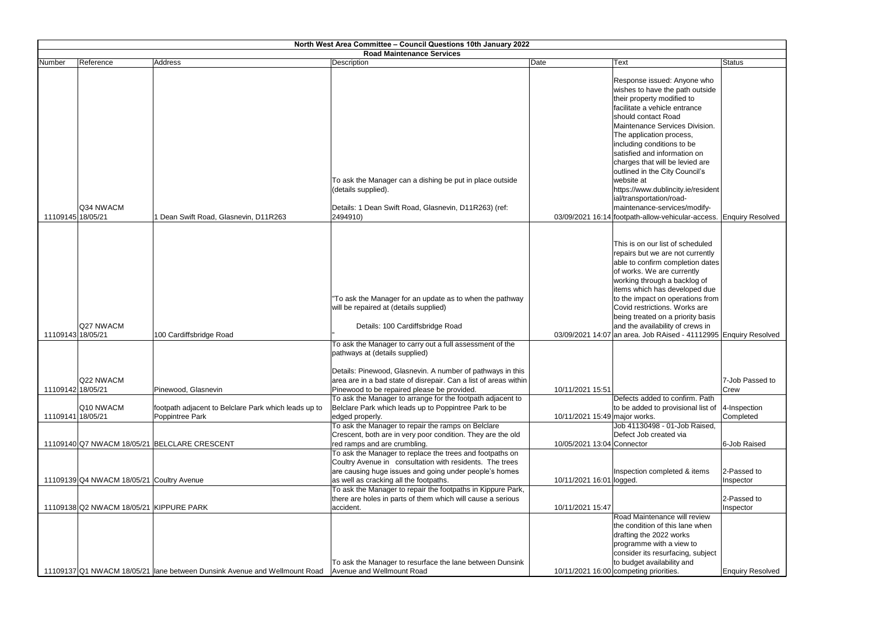|                   | North West Area Committee - Council Questions 10th January 2022 |                                                                           |                                                                                                                                                                                                                                                                                                                                     |                               |                                                                                                                                                                                                                                                                                                                                                                                                           |                             |  |
|-------------------|-----------------------------------------------------------------|---------------------------------------------------------------------------|-------------------------------------------------------------------------------------------------------------------------------------------------------------------------------------------------------------------------------------------------------------------------------------------------------------------------------------|-------------------------------|-----------------------------------------------------------------------------------------------------------------------------------------------------------------------------------------------------------------------------------------------------------------------------------------------------------------------------------------------------------------------------------------------------------|-----------------------------|--|
|                   |                                                                 |                                                                           | <b>Road Maintenance Services</b>                                                                                                                                                                                                                                                                                                    |                               |                                                                                                                                                                                                                                                                                                                                                                                                           |                             |  |
| Number            | Reference                                                       | Address                                                                   | Description                                                                                                                                                                                                                                                                                                                         | Date                          | Text                                                                                                                                                                                                                                                                                                                                                                                                      | Status                      |  |
|                   |                                                                 |                                                                           | To ask the Manager can a dishing be put in place outside<br>(details supplied).                                                                                                                                                                                                                                                     |                               | Response issued: Anyone who<br>wishes to have the path outside<br>their property modified to<br>facilitate a vehicle entrance<br>should contact Road<br>Maintenance Services Division.<br>The application process,<br>including conditions to be<br>satisfied and information on<br>charges that will be levied are<br>outlined in the City Council's<br>website at<br>https://www.dublincity.ie/resident |                             |  |
|                   |                                                                 |                                                                           |                                                                                                                                                                                                                                                                                                                                     |                               | ial/transportation/road-                                                                                                                                                                                                                                                                                                                                                                                  |                             |  |
| 11109145 18/05/21 | Q34 NWACM                                                       | 1 Dean Swift Road, Glasnevin, D11R263                                     | Details: 1 Dean Swift Road, Glasnevin, D11R263) (ref:<br>2494910)                                                                                                                                                                                                                                                                   |                               | maintenance-services/modify-<br>03/09/2021 16:14 footpath-allow-vehicular-access. Enquiry Resolved                                                                                                                                                                                                                                                                                                        |                             |  |
|                   |                                                                 |                                                                           |                                                                                                                                                                                                                                                                                                                                     |                               |                                                                                                                                                                                                                                                                                                                                                                                                           |                             |  |
|                   |                                                                 |                                                                           | "To ask the Manager for an update as to when the pathway<br>will be repaired at (details supplied)                                                                                                                                                                                                                                  |                               | This is on our list of scheduled<br>repairs but we are not currently<br>able to confirm completion dates<br>of works. We are currently<br>working through a backlog of<br>items which has developed due<br>to the impact on operations from<br>Covid restrictions. Works are<br>being treated on a priority basis                                                                                         |                             |  |
|                   | Q27 NWACM                                                       |                                                                           | Details: 100 Cardiffsbridge Road                                                                                                                                                                                                                                                                                                    |                               | and the availability of crews in                                                                                                                                                                                                                                                                                                                                                                          |                             |  |
| 11109143 18/05/21 |                                                                 | 100 Cardiffsbridge Road                                                   |                                                                                                                                                                                                                                                                                                                                     |                               | 03/09/2021 14:07 an area. Job RAised - 41112995 Enquiry Resolved                                                                                                                                                                                                                                                                                                                                          |                             |  |
| 11109142 18/05/21 | Q22 NWACM                                                       | Pinewood, Glasnevin                                                       | To ask the Manager to carry out a full assessment of the<br>pathways at (details supplied)<br>Details: Pinewood, Glasnevin. A number of pathways in this<br>area are in a bad state of disrepair. Can a list of areas within<br>Pinewood to be repaired please be provided.                                                         | 10/11/2021 15:51              |                                                                                                                                                                                                                                                                                                                                                                                                           | 7-Job Passed to<br>Crew     |  |
|                   |                                                                 |                                                                           | To ask the Manager to arrange for the footpath adjacent to                                                                                                                                                                                                                                                                          |                               | Defects added to confirm. Path                                                                                                                                                                                                                                                                                                                                                                            |                             |  |
|                   | Q10 NWACM                                                       | footpath adjacent to Belclare Park which leads up to                      | Belclare Park which leads up to Poppintree Park to be                                                                                                                                                                                                                                                                               |                               | to be added to provisional list of                                                                                                                                                                                                                                                                                                                                                                        | $ 4$ -Inspection            |  |
| 11109141 18/05/21 |                                                                 | Poppintree Park                                                           | edged properly.                                                                                                                                                                                                                                                                                                                     | 10/11/2021 15:49 major works. |                                                                                                                                                                                                                                                                                                                                                                                                           | Completed                   |  |
|                   |                                                                 | 11109140 Q7 NWACM 18/05/21 BELCLARE CRESCENT                              | To ask the Manager to repair the ramps on Belclare<br>Crescent, both are in very poor condition. They are the old<br>red ramps and are crumbling.<br>To ask the Manager to replace the trees and footpaths on<br>Coultry Avenue in consultation with residents. The trees<br>are causing huge issues and going under people's homes | 10/05/2021 13:04 Connector    | Job 41130498 - 01-Job Raised,<br>Defect Job created via<br>Inspection completed & items                                                                                                                                                                                                                                                                                                                   | 6-Job Raised<br>2-Passed to |  |
|                   | 11109139 Q4 NWACM 18/05/21 Coultry Avenue                       |                                                                           | as well as cracking all the footpaths.                                                                                                                                                                                                                                                                                              | 10/11/2021 16:01 logged.      |                                                                                                                                                                                                                                                                                                                                                                                                           | Inspector                   |  |
|                   | 11109138 Q2 NWACM 18/05/21 KIPPURE PARK                         |                                                                           | To ask the Manager to repair the footpaths in Kippure Park,<br>there are holes in parts of them which will cause a serious<br>accident.                                                                                                                                                                                             | 10/11/2021 15:47              | Road Maintenance will review                                                                                                                                                                                                                                                                                                                                                                              | 2-Passed to<br>Inspector    |  |
|                   |                                                                 | 11109137 Q1 NWACM 18/05/21 lane between Dunsink Avenue and Wellmount Road | To ask the Manager to resurface the lane between Dunsink<br>Avenue and Wellmount Road                                                                                                                                                                                                                                               |                               | the condition of this lane when<br>drafting the 2022 works<br>programme with a view to<br>consider its resurfacing, subject<br>to budget availability and<br>10/11/2021 16:00 competing priorities.                                                                                                                                                                                                       | <b>Enquiry Resolved</b>     |  |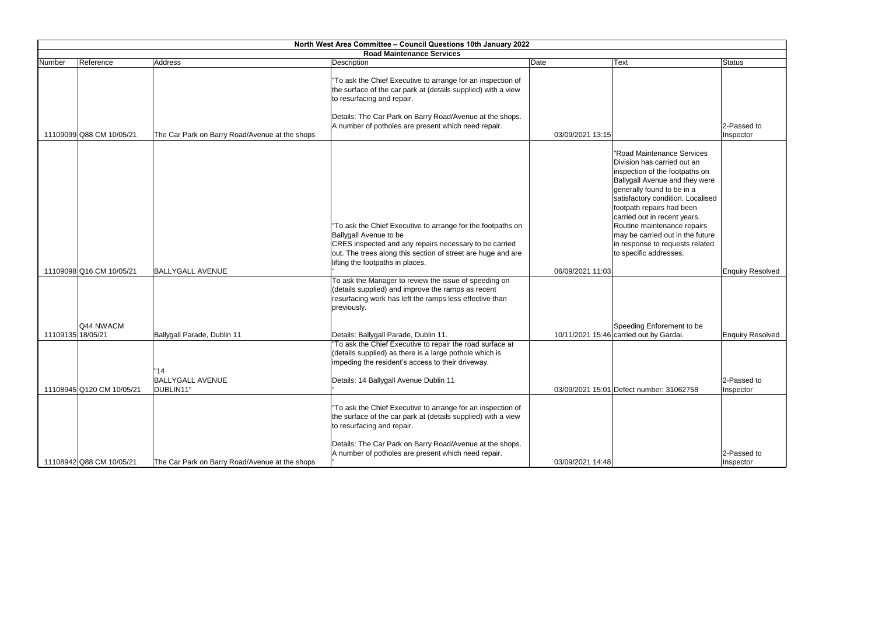|                   | North West Area Committee - Council Questions 10th January 2022 |                                                |                                                                                                                                                                                                                                                                               |                  |                                                                                                                                                                                                                                                                                                                                                                                               |                          |
|-------------------|-----------------------------------------------------------------|------------------------------------------------|-------------------------------------------------------------------------------------------------------------------------------------------------------------------------------------------------------------------------------------------------------------------------------|------------------|-----------------------------------------------------------------------------------------------------------------------------------------------------------------------------------------------------------------------------------------------------------------------------------------------------------------------------------------------------------------------------------------------|--------------------------|
|                   |                                                                 |                                                | <b>Road Maintenance Services</b>                                                                                                                                                                                                                                              |                  |                                                                                                                                                                                                                                                                                                                                                                                               |                          |
| Number            | Reference                                                       | Address                                        | Description                                                                                                                                                                                                                                                                   | Date             | Text                                                                                                                                                                                                                                                                                                                                                                                          | Status                   |
|                   | 11109099 Q88 CM 10/05/21                                        | The Car Park on Barry Road/Avenue at the shops | "To ask the Chief Executive to arrange for an inspection of<br>the surface of the car park at (details supplied) with a view<br>to resurfacing and repair.<br>Details: The Car Park on Barry Road/Avenue at the shops.<br>A number of potholes are present which need repair. | 03/09/2021 13:15 |                                                                                                                                                                                                                                                                                                                                                                                               | 2-Passed to<br>Inspector |
|                   |                                                                 |                                                | "To ask the Chief Executive to arrange for the footpaths on<br>Ballygall Avenue to be<br>CRES inspected and any repairs necessary to be carried<br>out. The trees along this section of street are huge and are<br>lifting the footpaths in places.                           |                  | "Road Maintenance Services<br>Division has carried out an<br>inspection of the footpaths on<br>Ballygall Avenue and they were<br>generally found to be in a<br>satisfactory condition. Localised<br>footpath repairs had been<br>carried out in recent years.<br>Routine maintenance repairs<br>may be carried out in the future<br>in response to requests related<br>to specific addresses. |                          |
|                   | 11109098 Q16 CM 10/05/21                                        | <b>BALLYGALL AVENUE</b>                        |                                                                                                                                                                                                                                                                               | 06/09/2021 11:03 |                                                                                                                                                                                                                                                                                                                                                                                               | <b>Enquiry Resolved</b>  |
|                   |                                                                 |                                                | To ask the Manager to review the issue of speeding on<br>(details supplied) and improve the ramps as recent<br>resurfacing work has left the ramps less effective than<br>previously.                                                                                         |                  |                                                                                                                                                                                                                                                                                                                                                                                               |                          |
|                   | Q44 NWACM                                                       |                                                |                                                                                                                                                                                                                                                                               |                  | Speeding Enforement to be                                                                                                                                                                                                                                                                                                                                                                     |                          |
| 11109135 18/05/21 |                                                                 | Ballygall Parade, Dublin 11                    | Details: Ballygall Parade, Dublin 11.                                                                                                                                                                                                                                         |                  | 10/11/2021 15:46 carried out by Gardai.                                                                                                                                                                                                                                                                                                                                                       | <b>Enquiry Resolved</b>  |
|                   |                                                                 | "14"                                           | "To ask the Chief Executive to repair the road surface at<br>(details supplied) as there is a large pothole which is<br>impeding the resident's access to their driveway.                                                                                                     |                  |                                                                                                                                                                                                                                                                                                                                                                                               |                          |
|                   |                                                                 | <b>BALLYGALL AVENUE</b>                        | Details: 14 Ballygall Avenue Dublin 11                                                                                                                                                                                                                                        |                  |                                                                                                                                                                                                                                                                                                                                                                                               | 2-Passed to              |
|                   | 11108945 Q120 CM 10/05/21                                       | DUBLIN11"                                      |                                                                                                                                                                                                                                                                               |                  | 03/09/2021 15:01 Defect number: 31062758                                                                                                                                                                                                                                                                                                                                                      | Inspector                |
|                   |                                                                 |                                                | "To ask the Chief Executive to arrange for an inspection of<br>the surface of the car park at (details supplied) with a view<br>to resurfacing and repair.                                                                                                                    |                  |                                                                                                                                                                                                                                                                                                                                                                                               |                          |
|                   | 11108942 Q88 CM 10/05/21                                        | The Car Park on Barry Road/Avenue at the shops | Details: The Car Park on Barry Road/Avenue at the shops.<br>A number of potholes are present which need repair.                                                                                                                                                               | 03/09/2021 14:48 |                                                                                                                                                                                                                                                                                                                                                                                               | 2-Passed to<br>Inspector |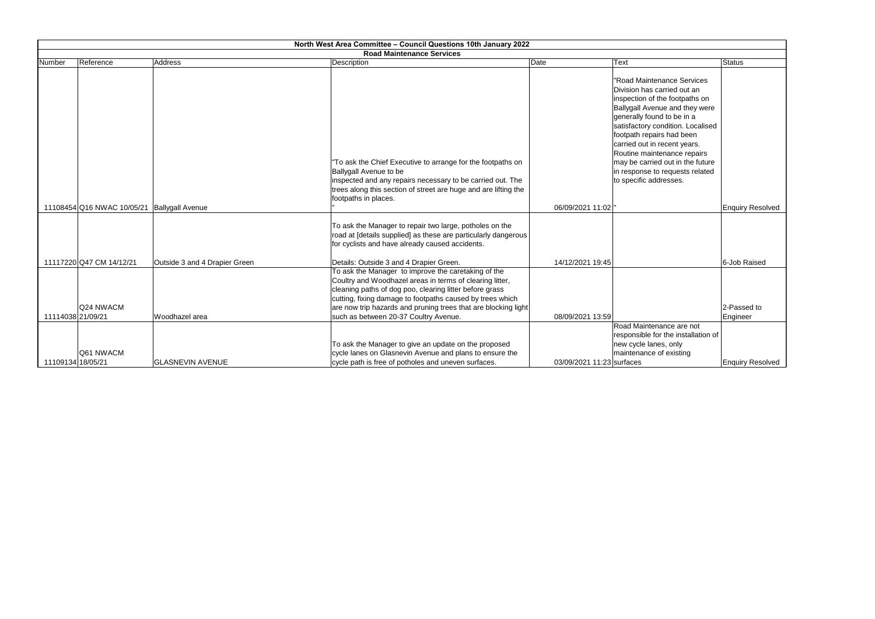|                   | North West Area Committee - Council Questions 10th January 2022 |                               |                                                                                                                                                                                                                                                                                                           |                           |                                                                                                                                                                                                                                                                                                                                                                                               |                         |  |  |  |
|-------------------|-----------------------------------------------------------------|-------------------------------|-----------------------------------------------------------------------------------------------------------------------------------------------------------------------------------------------------------------------------------------------------------------------------------------------------------|---------------------------|-----------------------------------------------------------------------------------------------------------------------------------------------------------------------------------------------------------------------------------------------------------------------------------------------------------------------------------------------------------------------------------------------|-------------------------|--|--|--|
|                   | <b>Road Maintenance Services</b>                                |                               |                                                                                                                                                                                                                                                                                                           |                           |                                                                                                                                                                                                                                                                                                                                                                                               |                         |  |  |  |
| Number            | Reference                                                       | Address                       | Description                                                                                                                                                                                                                                                                                               | Date                      | Text                                                                                                                                                                                                                                                                                                                                                                                          | Status                  |  |  |  |
|                   |                                                                 |                               | "To ask the Chief Executive to arrange for the footpaths on<br>Ballygall Avenue to be<br>inspected and any repairs necessary to be carried out. The<br>trees along this section of street are huge and are lifting the<br>footpaths in places.                                                            |                           | "Road Maintenance Services<br>Division has carried out an<br>inspection of the footpaths on<br>Ballygall Avenue and they were<br>generally found to be in a<br>satisfactory condition. Localised<br>footpath repairs had been<br>carried out in recent years.<br>Routine maintenance repairs<br>may be carried out in the future<br>in response to requests related<br>to specific addresses. |                         |  |  |  |
|                   | 11108454 Q16 NWAC 10/05/21   Ballygall Avenue                   |                               |                                                                                                                                                                                                                                                                                                           | 06/09/2021 11:02   "      |                                                                                                                                                                                                                                                                                                                                                                                               | <b>Enquiry Resolved</b> |  |  |  |
|                   |                                                                 |                               | To ask the Manager to repair two large, potholes on the<br>road at [details supplied] as these are particularly dangerous<br>for cyclists and have already caused accidents.                                                                                                                              |                           |                                                                                                                                                                                                                                                                                                                                                                                               |                         |  |  |  |
|                   | 11117220 Q47 CM 14/12/21                                        | Outside 3 and 4 Drapier Green | Details: Outside 3 and 4 Drapier Green.                                                                                                                                                                                                                                                                   | 14/12/2021 19:45          |                                                                                                                                                                                                                                                                                                                                                                                               | 6-Job Raised            |  |  |  |
|                   | Q24 NWACM                                                       |                               | To ask the Manager to improve the caretaking of the<br>Coultry and Woodhazel areas in terms of clearing litter,<br>cleaning paths of dog poo, clearing litter before grass<br>cutting, fixing damage to footpaths caused by trees which<br>are now trip hazards and pruning trees that are blocking light |                           |                                                                                                                                                                                                                                                                                                                                                                                               | 2-Passed to             |  |  |  |
| 11114038 21/09/21 |                                                                 | Woodhazel area                | such as between 20-37 Coultry Avenue.                                                                                                                                                                                                                                                                     | 08/09/2021 13:59          |                                                                                                                                                                                                                                                                                                                                                                                               | Engineer                |  |  |  |
|                   | Q61 NWACM                                                       |                               | To ask the Manager to give an update on the proposed<br>cycle lanes on Glasnevin Avenue and plans to ensure the                                                                                                                                                                                           |                           | Road Maintenance are not<br>responsible for the installation of<br>new cycle lanes, only<br>maintenance of existing                                                                                                                                                                                                                                                                           |                         |  |  |  |
|                   | 11109134 18/05/21                                               | <b>GLASNEVIN AVENUE</b>       | cycle path is free of potholes and uneven surfaces.                                                                                                                                                                                                                                                       | 03/09/2021 11:23 surfaces |                                                                                                                                                                                                                                                                                                                                                                                               | <b>Enquiry Resolved</b> |  |  |  |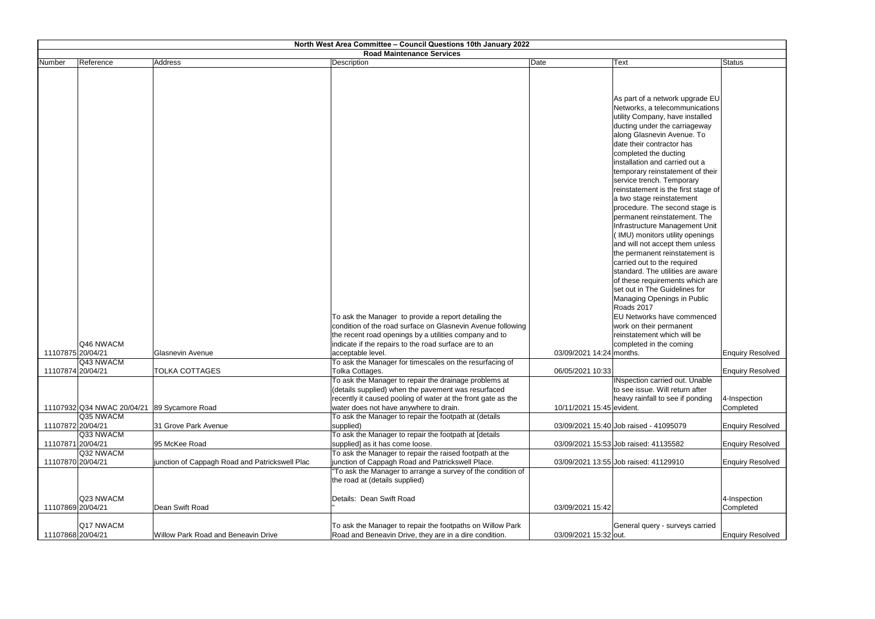|                   | North West Area Committee - Council Questions 10th January 2022 |                                                |                                                                                                                       |                           |                                                                                                                                                                                                                                                                                                                                                                                                                                                                                                                                                        |                           |
|-------------------|-----------------------------------------------------------------|------------------------------------------------|-----------------------------------------------------------------------------------------------------------------------|---------------------------|--------------------------------------------------------------------------------------------------------------------------------------------------------------------------------------------------------------------------------------------------------------------------------------------------------------------------------------------------------------------------------------------------------------------------------------------------------------------------------------------------------------------------------------------------------|---------------------------|
|                   |                                                                 |                                                | <b>Road Maintenance Services</b>                                                                                      |                           |                                                                                                                                                                                                                                                                                                                                                                                                                                                                                                                                                        |                           |
|                   |                                                                 |                                                |                                                                                                                       |                           |                                                                                                                                                                                                                                                                                                                                                                                                                                                                                                                                                        |                           |
| Number            | Reference                                                       | Address                                        | <b>Description</b>                                                                                                    | Date                      | <b>Text</b><br>As part of a network upgrade EU<br>Networks, a telecommunications<br>utility Company, have installed<br>ducting under the carriageway<br>along Glasnevin Avenue. To<br>date their contractor has<br>completed the ducting<br>installation and carried out a<br>temporary reinstatement of their<br>service trench. Temporary<br>reinstatement is the first stage of<br>a two stage reinstatement<br>procedure. The second stage is<br>permanent reinstatement. The<br>Infrastructure Management Unit<br>(IMU) monitors utility openings | <b>Status</b>             |
|                   |                                                                 |                                                |                                                                                                                       |                           | and will not accept them unless<br>the permanent reinstatement is<br>carried out to the required                                                                                                                                                                                                                                                                                                                                                                                                                                                       |                           |
|                   |                                                                 |                                                |                                                                                                                       |                           | standard. The utilities are aware<br>of these requirements which are<br>set out in The Guidelines for                                                                                                                                                                                                                                                                                                                                                                                                                                                  |                           |
|                   |                                                                 |                                                | To ask the Manager to provide a report detailing the                                                                  |                           | Managing Openings in Public<br>Roads 2017<br><b>EU Networks have commenced</b>                                                                                                                                                                                                                                                                                                                                                                                                                                                                         |                           |
|                   |                                                                 |                                                | condition of the road surface on Glasnevin Avenue following<br>the recent road openings by a utilities company and to |                           | work on their permanent<br>reinstatement which will be                                                                                                                                                                                                                                                                                                                                                                                                                                                                                                 |                           |
| 11107875 20/04/21 | Q46 NWACM                                                       | <b>Glasnevin Avenue</b>                        | indicate if the repairs to the road surface are to an<br>acceptable level.                                            | 03/09/2021 14:24 months.  | completed in the coming                                                                                                                                                                                                                                                                                                                                                                                                                                                                                                                                | <b>Enquiry Resolved</b>   |
|                   | Q43 NWACM                                                       |                                                | To ask the Manager for timescales on the resurfacing of                                                               |                           |                                                                                                                                                                                                                                                                                                                                                                                                                                                                                                                                                        |                           |
| 11107874 20/04/21 |                                                                 | <b>TOLKA COTTAGES</b>                          | Tolka Cottages.<br>To ask the Manager to repair the drainage problems at                                              | 06/05/2021 10:33          | INspection carried out. Unable                                                                                                                                                                                                                                                                                                                                                                                                                                                                                                                         | <b>Enquiry Resolved</b>   |
|                   |                                                                 |                                                | (details supplied) when the pavement was resurfaced                                                                   |                           | to see issue. Will return after<br>heavy rainfall to see if ponding                                                                                                                                                                                                                                                                                                                                                                                                                                                                                    |                           |
|                   | 11107932 Q34 NWAC 20/04/21                                      | 89 Sycamore Road                               | recently it caused pooling of water at the front gate as the<br>water does not have anywhere to drain.                | 10/11/2021 15:45 evident. |                                                                                                                                                                                                                                                                                                                                                                                                                                                                                                                                                        | 4-Inspection<br>Completed |
|                   | Q35 NWACM                                                       |                                                | To ask the Manager to repair the footpath at (details                                                                 |                           |                                                                                                                                                                                                                                                                                                                                                                                                                                                                                                                                                        |                           |
| 11107872 20/04/21 |                                                                 | 31 Grove Park Avenue                           | supplied)                                                                                                             |                           | 03/09/2021 15:40 Job raised - 41095079                                                                                                                                                                                                                                                                                                                                                                                                                                                                                                                 | <b>Enquiry Resolved</b>   |
| 11107871 20/04/21 | Q33 NWACM                                                       | 95 McKee Road                                  | To ask the Manager to repair the footpath at [details<br>supplied] as it has come loose.                              |                           | 03/09/2021 15:53 Job raised: 41135582                                                                                                                                                                                                                                                                                                                                                                                                                                                                                                                  | <b>Enquiry Resolved</b>   |
|                   | Q32 NWACM                                                       |                                                | To ask the Manager to repair the raised footpath at the                                                               |                           |                                                                                                                                                                                                                                                                                                                                                                                                                                                                                                                                                        |                           |
| 11107870 20/04/21 |                                                                 | junction of Cappagh Road and Patrickswell Plac | junction of Cappagh Road and Patrickswell Place.                                                                      |                           | 03/09/2021 13:55 Job raised: 41129910                                                                                                                                                                                                                                                                                                                                                                                                                                                                                                                  | <b>Enquiry Resolved</b>   |
|                   |                                                                 |                                                | "To ask the Manager to arrange a survey of the condition of<br>the road at (details supplied)                         |                           |                                                                                                                                                                                                                                                                                                                                                                                                                                                                                                                                                        |                           |
| 11107869 20/04/21 | Q23 NWACM                                                       | Dean Swift Road                                | Details: Dean Swift Road                                                                                              | 03/09/2021 15:42          |                                                                                                                                                                                                                                                                                                                                                                                                                                                                                                                                                        | 4-Inspection<br>Completed |
| 11107868 20/04/21 | Q17 NWACM                                                       | Willow Park Road and Beneavin Drive            | To ask the Manager to repair the footpaths on Willow Park<br>Road and Beneavin Drive, they are in a dire condition.   | 03/09/2021 15:32 out.     | General query - surveys carried                                                                                                                                                                                                                                                                                                                                                                                                                                                                                                                        | <b>Enquiry Resolved</b>   |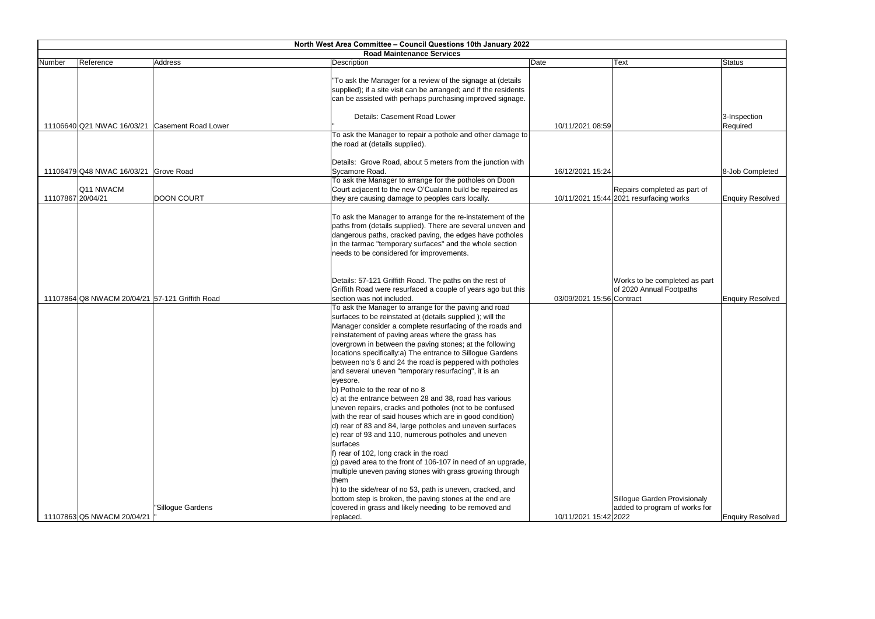|                                                 |                   | <b>Road Maintenance Services</b>                                 |                           |                                         |                         |
|-------------------------------------------------|-------------------|------------------------------------------------------------------|---------------------------|-----------------------------------------|-------------------------|
| Reference<br>Number                             | Address           | Date<br>Description                                              |                           | Text                                    | <b>Status</b>           |
|                                                 |                   |                                                                  |                           |                                         |                         |
|                                                 |                   | "To ask the Manager for a review of the signage at (details      |                           |                                         |                         |
|                                                 |                   | supplied); if a site visit can be arranged; and if the residents |                           |                                         |                         |
|                                                 |                   | can be assisted with perhaps purchasing improved signage.        |                           |                                         |                         |
|                                                 |                   | Details: Casement Road Lower                                     |                           |                                         | 3-Inspection            |
| 11106640 Q21 NWAC 16/03/21 Casement Road Lower  |                   |                                                                  | 10/11/2021 08:59          |                                         | Required                |
|                                                 |                   | To ask the Manager to repair a pothole and other damage to       |                           |                                         |                         |
|                                                 |                   | the road at (details supplied).                                  |                           |                                         |                         |
|                                                 |                   |                                                                  |                           |                                         |                         |
|                                                 |                   | Details: Grove Road, about 5 meters from the junction with       |                           |                                         |                         |
| 11106479 Q48 NWAC 16/03/21 Grove Road           |                   | Sycamore Road.                                                   | 16/12/2021 15:24          |                                         | 8-Job Completed         |
|                                                 |                   | To ask the Manager to arrange for the potholes on Doon           |                           |                                         |                         |
| Q11 NWACM                                       |                   | Court adjacent to the new O'Cualann build be repaired as         |                           | Repairs completed as part of            |                         |
| 11107867 20/04/21                               | <b>DOON COURT</b> | they are causing damage to peoples cars locally.                 |                           | 10/11/2021 15:44 2021 resurfacing works | <b>Enquiry Resolved</b> |
|                                                 |                   |                                                                  |                           |                                         |                         |
|                                                 |                   | To ask the Manager to arrange for the re-instatement of the      |                           |                                         |                         |
|                                                 |                   | paths from (details supplied). There are several uneven and      |                           |                                         |                         |
|                                                 |                   | dangerous paths, cracked paving, the edges have potholes         |                           |                                         |                         |
|                                                 |                   | in the tarmac "temporary surfaces" and the whole section         |                           |                                         |                         |
|                                                 |                   | needs to be considered for improvements.                         |                           |                                         |                         |
|                                                 |                   |                                                                  |                           |                                         |                         |
|                                                 |                   |                                                                  |                           |                                         |                         |
|                                                 |                   | Details: 57-121 Griffith Road. The paths on the rest of          |                           | Works to be completed as part           |                         |
|                                                 |                   | Griffith Road were resurfaced a couple of years ago but this     |                           | of 2020 Annual Footpaths                |                         |
| 11107864 Q8 NWACM 20/04/21 57-121 Griffith Road |                   | section was not included.                                        | 03/09/2021 15:56 Contract |                                         | <b>Enquiry Resolved</b> |
|                                                 |                   | To ask the Manager to arrange for the paving and road            |                           |                                         |                         |
|                                                 |                   | surfaces to be reinstated at (details supplied); will the        |                           |                                         |                         |
|                                                 |                   | Manager consider a complete resurfacing of the roads and         |                           |                                         |                         |
|                                                 |                   | reinstatement of paving areas where the grass has                |                           |                                         |                         |
|                                                 |                   | overgrown in between the paving stones; at the following         |                           |                                         |                         |
|                                                 |                   | locations specifically:a) The entrance to Sillogue Gardens       |                           |                                         |                         |
|                                                 |                   | between no's 6 and 24 the road is peppered with potholes         |                           |                                         |                         |
|                                                 |                   | and several uneven "temporary resurfacing", it is an             |                           |                                         |                         |
|                                                 |                   | eyesore.                                                         |                           |                                         |                         |
|                                                 |                   | b) Pothole to the rear of no 8                                   |                           |                                         |                         |
|                                                 |                   | c) at the entrance between 28 and 38, road has various           |                           |                                         |                         |
|                                                 |                   | uneven repairs, cracks and potholes (not to be confused          |                           |                                         |                         |
|                                                 |                   | with the rear of said houses which are in good condition)        |                           |                                         |                         |
|                                                 |                   | d) rear of 83 and 84, large potholes and uneven surfaces         |                           |                                         |                         |
|                                                 |                   | e) rear of 93 and 110, numerous potholes and uneven              |                           |                                         |                         |
|                                                 |                   | surfaces                                                         |                           |                                         |                         |
|                                                 |                   | f) rear of 102, long crack in the road                           |                           |                                         |                         |
|                                                 |                   | g) paved area to the front of 106-107 in need of an upgrade,     |                           |                                         |                         |
|                                                 |                   | multiple uneven paving stones with grass growing through         |                           |                                         |                         |
|                                                 |                   | them                                                             |                           |                                         |                         |
|                                                 |                   | h) to the side/rear of no 53, path is uneven, cracked, and       |                           |                                         |                         |
|                                                 |                   | bottom step is broken, the paving stones at the end are          |                           | Sillogue Garden Provisionaly            |                         |
|                                                 | "Sillogue Gardens | covered in grass and likely needing to be removed and            |                           | added to program of works for           |                         |
| 11107863 Q5 NWACM 20/04/21                      |                   | replaced.                                                        | 10/11/2021 15:42 2022     |                                         | <b>Enquiry Resolved</b> |

| Text                                                                  | <b>Status</b>           |
|-----------------------------------------------------------------------|-------------------------|
|                                                                       | 3-Inspection            |
|                                                                       | Required                |
|                                                                       | 8-Job Completed         |
| Repairs completed as part of<br>2021 resurfacing works                | <b>Enquiry Resolved</b> |
| Works to be completed as part<br>of 2020 Annual Footpaths             |                         |
| Contract                                                              | <b>Enquiry Resolved</b> |
|                                                                       |                         |
| Sillogue Garden Provisionaly<br>added to program of works for<br>2022 | <b>Enquiry Resolved</b> |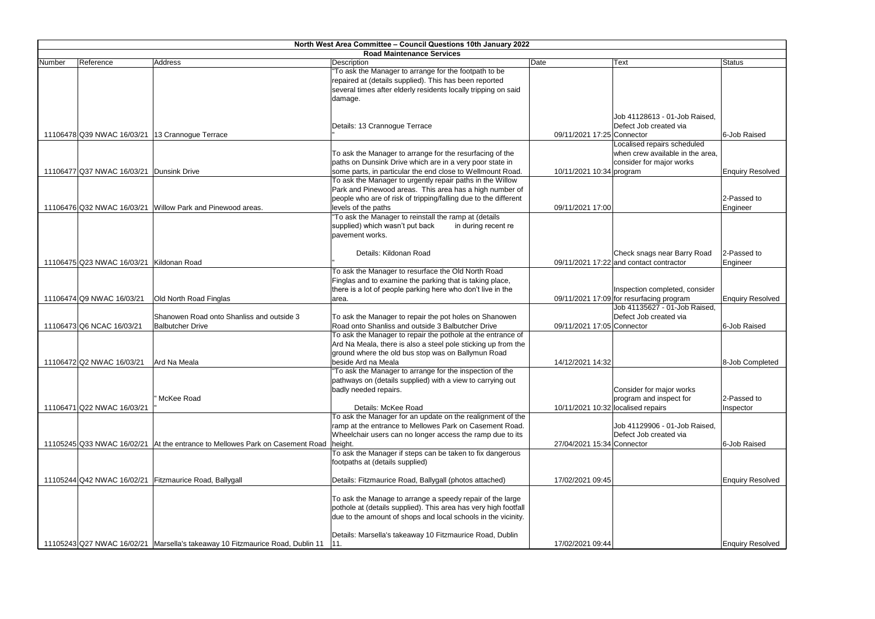|        | North West Area Committee - Council Questions 10th January 2022 |                                                                                 |                                                                 |                                    |                                          |                         |
|--------|-----------------------------------------------------------------|---------------------------------------------------------------------------------|-----------------------------------------------------------------|------------------------------------|------------------------------------------|-------------------------|
|        |                                                                 |                                                                                 | <b>Road Maintenance Services</b>                                |                                    |                                          |                         |
| Number | Reference                                                       | Address                                                                         | Description                                                     | Date                               | Text                                     | <b>Status</b>           |
|        |                                                                 |                                                                                 | "To ask the Manager to arrange for the footpath to be           |                                    |                                          |                         |
|        |                                                                 |                                                                                 | repaired at (details supplied). This has been reported          |                                    |                                          |                         |
|        |                                                                 |                                                                                 | several times after elderly residents locally tripping on said  |                                    |                                          |                         |
|        |                                                                 |                                                                                 | damage.                                                         |                                    |                                          |                         |
|        |                                                                 |                                                                                 |                                                                 |                                    | Job 41128613 - 01-Job Raised.            |                         |
|        |                                                                 |                                                                                 |                                                                 |                                    |                                          |                         |
|        | 11106478 Q39 NWAC 16/03/21 13 Crannogue Terrace                 |                                                                                 | Details: 13 Crannogue Terrace                                   | 09/11/2021 17:25 Connector         | Defect Job created via                   | 6-Job Raised            |
|        |                                                                 |                                                                                 |                                                                 |                                    | Localised repairs scheduled              |                         |
|        |                                                                 |                                                                                 | To ask the Manager to arrange for the resurfacing of the        |                                    | when crew available in the area,         |                         |
|        |                                                                 |                                                                                 | paths on Dunsink Drive which are in a very poor state in        |                                    | consider for major works                 |                         |
|        | 11106477 Q37 NWAC 16/03/21 Dunsink Drive                        |                                                                                 | some parts, in particular the end close to Wellmount Road.      | 10/11/2021 10:34 program           |                                          | <b>Enquiry Resolved</b> |
|        |                                                                 |                                                                                 | To ask the Manager to urgently repair paths in the Willow       |                                    |                                          |                         |
|        |                                                                 |                                                                                 | Park and Pinewood areas. This area has a high number of         |                                    |                                          |                         |
|        |                                                                 |                                                                                 | people who are of risk of tripping/falling due to the different |                                    |                                          | 2-Passed to             |
|        |                                                                 | 11106476 Q32 NWAC 16/03/21 Willow Park and Pinewood areas.                      | levels of the paths                                             | 09/11/2021 17:00                   |                                          | Engineer                |
|        |                                                                 |                                                                                 | "To ask the Manager to reinstall the ramp at (details           |                                    |                                          |                         |
|        |                                                                 |                                                                                 | supplied) which wasn't put back<br>in during recent re          |                                    |                                          |                         |
|        |                                                                 |                                                                                 | pavement works.                                                 |                                    |                                          |                         |
|        |                                                                 |                                                                                 |                                                                 |                                    |                                          |                         |
|        |                                                                 |                                                                                 | Details: Kildonan Road                                          |                                    | Check snags near Barry Road              | 2-Passed to             |
|        | 11106475 Q23 NWAC 16/03/21 Kildonan Road                        |                                                                                 |                                                                 |                                    | 09/11/2021 17:22 and contact contractor  | Engineer                |
|        |                                                                 |                                                                                 | To ask the Manager to resurface the Old North Road              |                                    |                                          |                         |
|        |                                                                 |                                                                                 | Finglas and to examine the parking that is taking place,        |                                    |                                          |                         |
|        |                                                                 |                                                                                 | there is a lot of people parking here who don't live in the     |                                    | Inspection completed, consider           |                         |
|        | 11106474 Q9 NWAC 16/03/21                                       | Old North Road Finglas                                                          | area.                                                           |                                    | 09/11/2021 17:09 for resurfacing program | <b>Enquiry Resolved</b> |
|        |                                                                 |                                                                                 |                                                                 |                                    | Job 41135627 - 01-Job Raised,            |                         |
|        |                                                                 | Shanowen Road onto Shanliss and outside 3                                       | To ask the Manager to repair the pot holes on Shanowen          |                                    | Defect Job created via                   |                         |
|        | 11106473 Q6 NCAC 16/03/21                                       | <b>Balbutcher Drive</b>                                                         | Road onto Shanliss and outside 3 Balbutcher Drive               | 09/11/2021 17:05 Connector         |                                          | 6-Job Raised            |
|        |                                                                 |                                                                                 | To ask the Manager to repair the pothole at the entrance of     |                                    |                                          |                         |
|        |                                                                 |                                                                                 | Ard Na Meala, there is also a steel pole sticking up from the   |                                    |                                          |                         |
|        |                                                                 |                                                                                 | ground where the old bus stop was on Ballymun Road              |                                    |                                          |                         |
|        | 11106472 Q2 NWAC 16/03/21                                       | Ard Na Meala                                                                    | beside Ard na Meala                                             | 14/12/2021 14:32                   |                                          | 8-Job Completed         |
|        |                                                                 |                                                                                 | "To ask the Manager to arrange for the inspection of the        |                                    |                                          |                         |
|        |                                                                 |                                                                                 | pathways on (details supplied) with a view to carrying out      |                                    |                                          |                         |
|        |                                                                 |                                                                                 | badly needed repairs.                                           |                                    | Consider for major works                 |                         |
|        |                                                                 | McKee Road                                                                      |                                                                 |                                    | program and inspect for                  | 2-Passed to             |
|        | 11106471 Q22 NWAC 16/03/21                                      |                                                                                 | Details: McKee Road                                             | 10/11/2021 10:32 localised repairs |                                          | Inspector               |
|        |                                                                 |                                                                                 | To ask the Manager for an update on the realignment of the      |                                    |                                          |                         |
|        |                                                                 |                                                                                 | ramp at the entrance to Mellowes Park on Casement Road.         |                                    | Job 41129906 - 01-Job Raised,            |                         |
|        |                                                                 |                                                                                 | Wheelchair users can no longer access the ramp due to its       |                                    | Defect Job created via                   |                         |
|        |                                                                 | 11105245 Q33 NWAC 16/02/21 At the entrance to Mellowes Park on Casement Road    | height.                                                         | 27/04/2021 15:34 Connector         |                                          | 6-Job Raised            |
|        |                                                                 |                                                                                 | To ask the Manager if steps can be taken to fix dangerous       |                                    |                                          |                         |
|        |                                                                 |                                                                                 | footpaths at (details supplied)                                 |                                    |                                          |                         |
|        |                                                                 |                                                                                 |                                                                 |                                    |                                          |                         |
|        |                                                                 | 11105244 Q42 NWAC 16/02/21 Fitzmaurice Road, Ballygall                          | Details: Fitzmaurice Road, Ballygall (photos attached)          | 17/02/2021 09:45                   |                                          | <b>Enquiry Resolved</b> |
|        |                                                                 |                                                                                 |                                                                 |                                    |                                          |                         |
|        |                                                                 |                                                                                 | To ask the Manage to arrange a speedy repair of the large       |                                    |                                          |                         |
|        |                                                                 |                                                                                 | pothole at (details supplied). This area has very high footfall |                                    |                                          |                         |
|        |                                                                 |                                                                                 | due to the amount of shops and local schools in the vicinity.   |                                    |                                          |                         |
|        |                                                                 |                                                                                 |                                                                 |                                    |                                          |                         |
|        |                                                                 |                                                                                 | Details: Marsella's takeaway 10 Fitzmaurice Road, Dublin        |                                    |                                          |                         |
|        |                                                                 | 11105243 Q27 NWAC 16/02/21   Marsella's takeaway 10 Fitzmaurice Road, Dublin 11 | 11.                                                             | 17/02/2021 09:44                   |                                          | <b>Enquiry Resolved</b> |